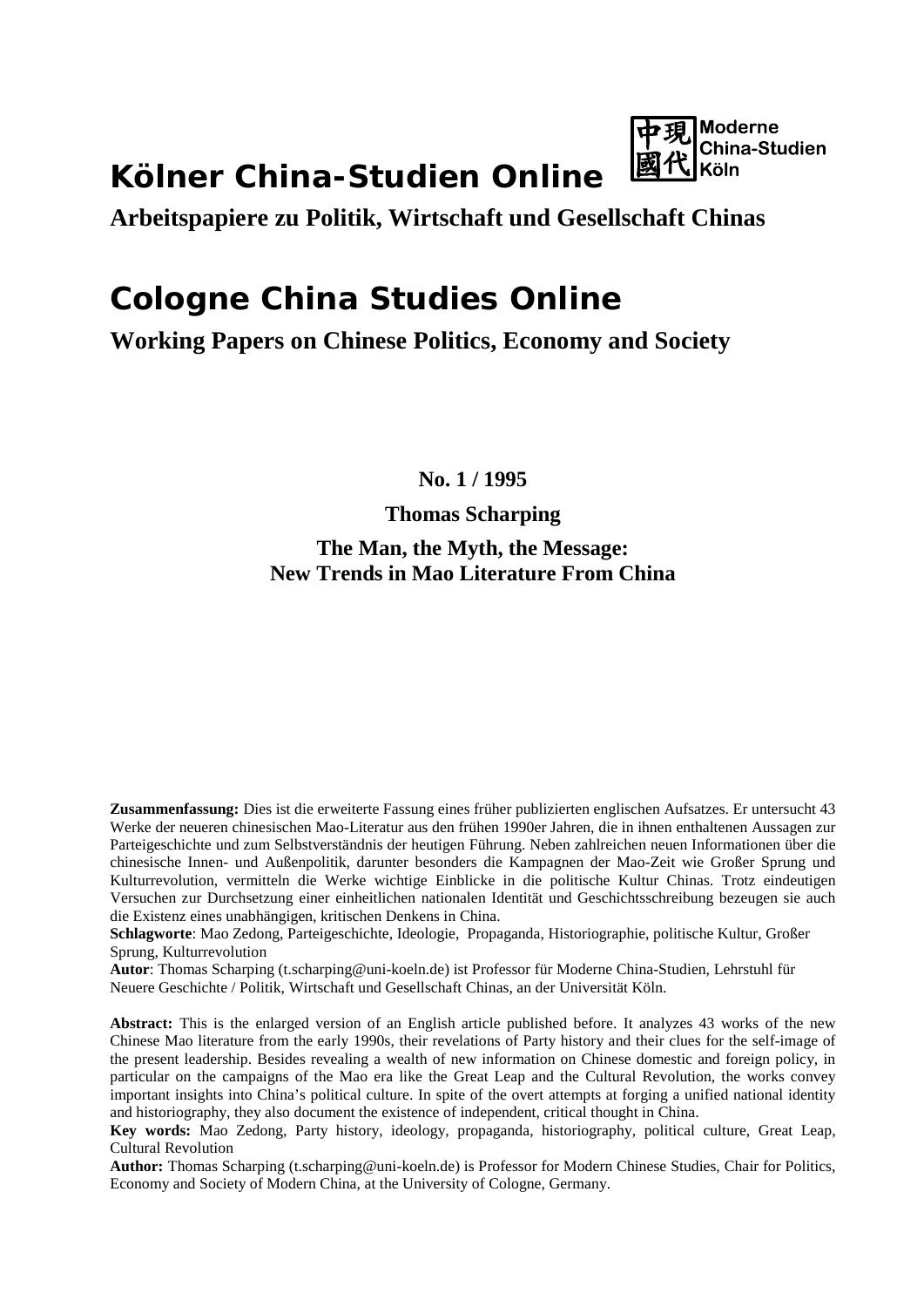# **Kölner China-Studien Online**



**Arbeitspapiere zu Politik, Wirtschaft und Gesellschaft Chinas**

## **Cologne China Studies Online**

**Working Papers on Chinese Politics, Economy and Society**

**No. 1 / 1995**

## **Thomas Scharping The Man, the Myth, the Message: New Trends in Mao Literature From China**

**Zusammenfassung:** Dies ist die erweiterte Fassung eines früher publizierten englischen Aufsatzes. Er untersucht 43 Werke der neueren chinesischen Mao-Literatur aus den frühen 1990er Jahren, die in ihnen enthaltenen Aussagen zur Parteigeschichte und zum Selbstverständnis der heutigen Führung. Neben zahlreichen neuen Informationen über die chinesische Innen- und Außenpolitik, darunter besonders die Kampagnen der Mao-Zeit wie Großer Sprung und Kulturrevolution, vermitteln die Werke wichtige Einblicke in die politische Kultur Chinas. Trotz eindeutigen Versuchen zur Durchsetzung einer einheitlichen nationalen Identität und Geschichtsschreibung bezeugen sie auch die Existenz eines unabhängigen, kritischen Denkens in China.

**Schlagworte**: Mao Zedong, Parteigeschichte, Ideologie, Propaganda, Historiographie, politische Kultur, Großer Sprung, Kulturrevolution

**Autor**: Thomas Scharping [\(t.scharping@uni-koeln.de\)](mailto:t.scharping@uni-koeln.de) ist Professor für Moderne China-Studien, Lehrstuhl für Neuere Geschichte / Politik, Wirtschaft und Gesellschaft Chinas, an der Universität Köln.

**Abstract:** This is the enlarged version of an English article published before. It analyzes 43 works of the new Chinese Mao literature from the early 1990s, their revelations of Party history and their clues for the self-image of the present leadership. Besides revealing a wealth of new information on Chinese domestic and foreign policy, in particular on the campaigns of the Mao era like the Great Leap and the Cultural Revolution, the works convey important insights into China's political culture. In spite of the overt attempts at forging a unified national identity and historiography, they also document the existence of independent, critical thought in China.

**Key words:** Mao Zedong, Party history, ideology, propaganda, historiography, political culture, Great Leap, Cultural Revolution

Author: Thomas Scharping [\(t.scharping@uni-koeln.de\)](mailto:t.scharping@uni-koeln.de) is Professor for Modern Chinese Studies, Chair for Politics, Economy and Society of Modern China, at the University of Cologne, Germany.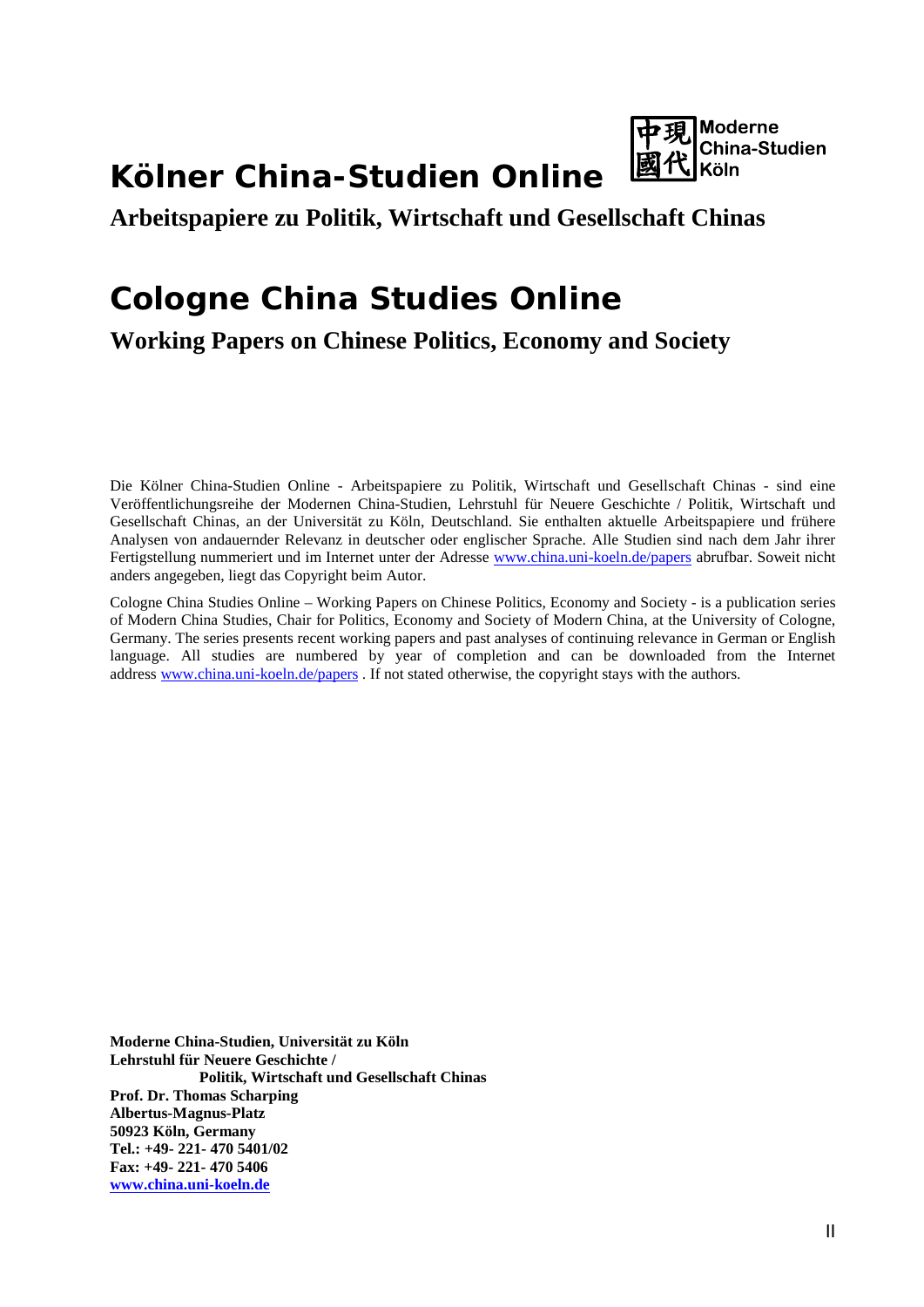# **Kölner China-Studien Online**



### **Arbeitspapiere zu Politik, Wirtschaft und Gesellschaft Chinas**

# **Cologne China Studies Online**

**Working Papers on Chinese Politics, Economy and Society**

Die Kölner China-Studien Online - Arbeitspapiere zu Politik, Wirtschaft und Gesellschaft Chinas - sind eine Veröffentlichungsreihe der Modernen China-Studien, Lehrstuhl für Neuere Geschichte / Politik, Wirtschaft und Gesellschaft Chinas, an der Universität zu Köln, Deutschland. Sie enthalten aktuelle Arbeitspapiere und frühere Analysen von andauernder Relevanz in deutscher oder englischer Sprache. Alle Studien sind nach dem Jahr ihrer Fertigstellung nummeriert und im Internet unter der Adresse [www.china.uni-koeln.de/papers](http://www.china.uni-koeln.de/papers) abrufbar. Soweit nicht anders angegeben, liegt das Copyright beim Autor.

Cologne China Studies Online – Working Papers on Chinese Politics, Economy and Society - is a publication series of Modern China Studies, Chair for Politics, Economy and Society of Modern China, at the University of Cologne, Germany. The series presents recent working papers and past analyses of continuing relevance in German or English language. All studies are numbered by year of completion and can be downloaded from the Internet address [www.china.uni-koeln.de/papers](http://www.china.uni-koeln.de/papers) . If not stated otherwise, the copyright stays with the authors.

**Moderne China-Studien, Universität zu Köln Lehrstuhl für Neuere Geschichte / Politik, Wirtschaft und Gesellschaft Chinas Prof. Dr. Thomas Scharping Albertus-Magnus-Platz 50923 Köln, Germany Tel.: +49- 221- 470 5401/02 Fax: +49- 221- 470 5406 [www.china.uni-koeln.de](http://www.china.uni-koeln.de/)**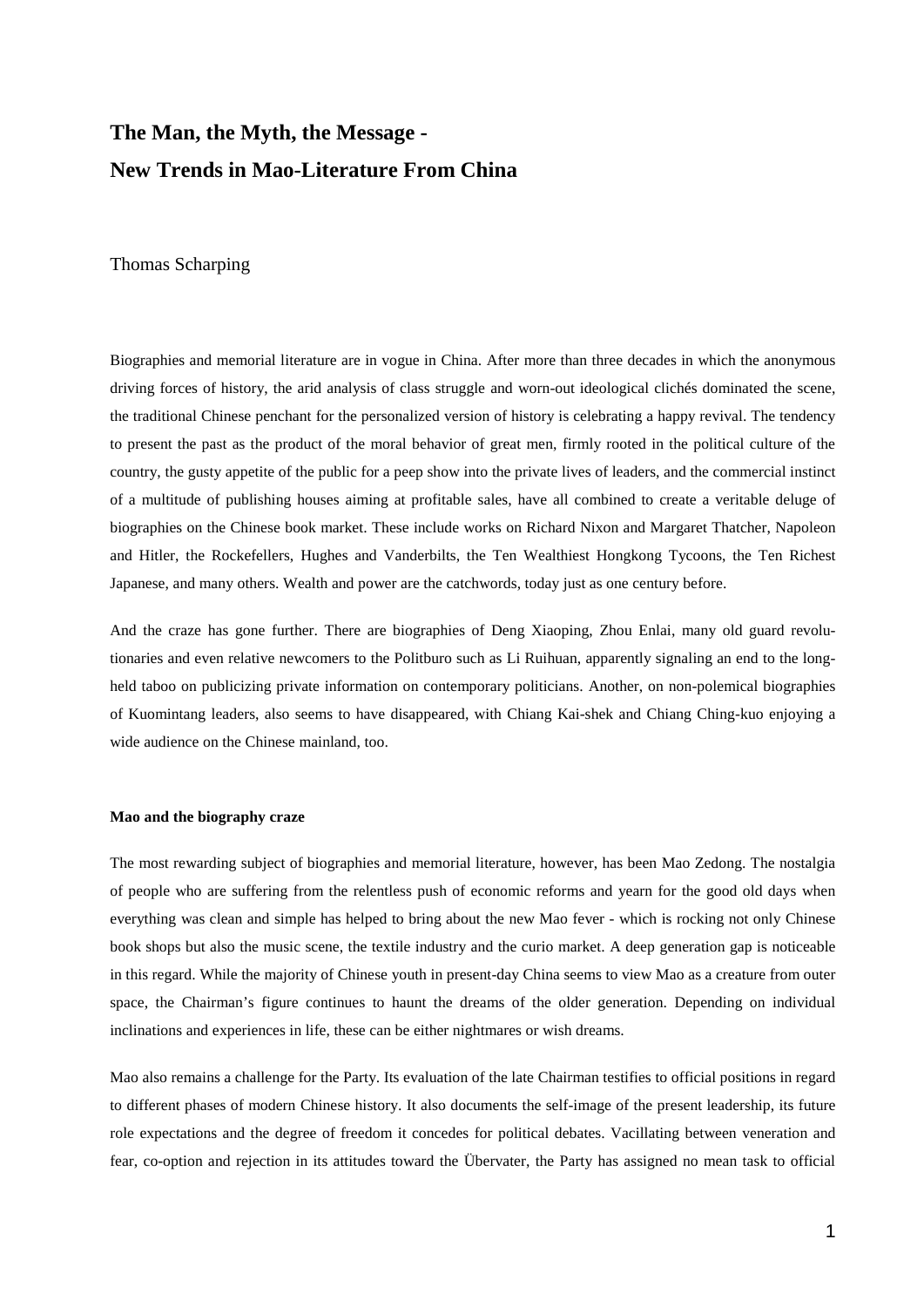## **The Man, the Myth, the Message - New Trends in Mao-Literature From China**

Thomas Scharping

Biographies and memorial literature are in vogue in China. After more than three decades in which the anonymous driving forces of history, the arid analysis of class struggle and worn-out ideological clichés dominated the scene, the traditional Chinese penchant for the personalized version of history is celebrating a happy revival. The tendency to present the past as the product of the moral behavior of great men, firmly rooted in the political culture of the country, the gusty appetite of the public for a peep show into the private lives of leaders, and the commercial instinct of a multitude of publishing houses aiming at profitable sales, have all combined to create a veritable deluge of biographies on the Chinese book market. These include works on Richard Nixon and Margaret Thatcher, Napoleon and Hitler, the Rockefellers, Hughes and Vanderbilts, the Ten Wealthiest Hongkong Tycoons, the Ten Richest Japanese, and many others. Wealth and power are the catchwords, today just as one century before.

And the craze has gone further. There are biographies of Deng Xiaoping, Zhou Enlai, many old guard revolutionaries and even relative newcomers to the Politburo such as Li Ruihuan, apparently signaling an end to the longheld taboo on publicizing private information on contemporary politicians. Another, on non-polemical biographies of Kuomintang leaders, also seems to have disappeared, with Chiang Kai-shek and Chiang Ching-kuo enjoying a wide audience on the Chinese mainland, too.

#### **Mao and the biography craze**

The most rewarding subject of biographies and memorial literature, however, has been Mao Zedong. The nostalgia of people who are suffering from the relentless push of economic reforms and yearn for the good old days when everything was clean and simple has helped to bring about the new Mao fever - which is rocking not only Chinese book shops but also the music scene, the textile industry and the curio market. A deep generation gap is noticeable in this regard. While the majority of Chinese youth in present-day China seems to view Mao as a creature from outer space, the Chairman's figure continues to haunt the dreams of the older generation. Depending on individual inclinations and experiences in life, these can be either nightmares or wish dreams.

Mao also remains a challenge for the Party. Its evaluation of the late Chairman testifies to official positions in regard to different phases of modern Chinese history. It also documents the self-image of the present leadership, its future role expectations and the degree of freedom it concedes for political debates. Vacillating between veneration and fear, co-option and rejection in its attitudes toward the Übervater, the Party has assigned no mean task to official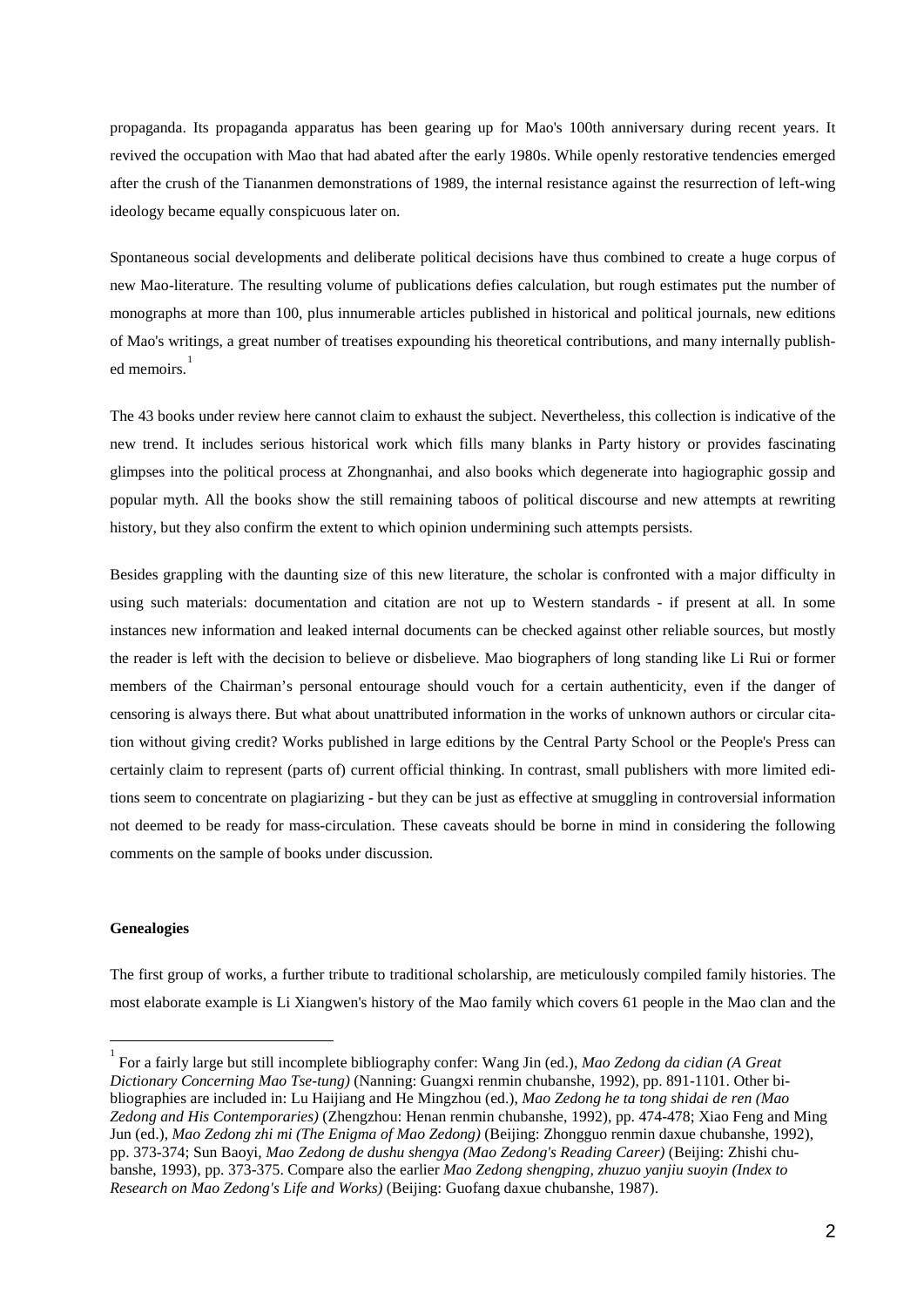propaganda. Its propaganda apparatus has been gearing up for Mao's 100th anniversary during recent years. It revived the occupation with Mao that had abated after the early 1980s. While openly restorative tendencies emerged after the crush of the Tiananmen demonstrations of 1989, the internal resistance against the resurrection of left-wing ideology became equally conspicuous later on.

Spontaneous social developments and deliberate political decisions have thus combined to create a huge corpus of new Mao-literature. The resulting volume of publications defies calculation, but rough estimates put the number of monographs at more than 100, plus innumerable articles published in historical and political journals, new editions of Mao's writings, a great number of treatises expounding his theoretical contributions, and many internally publish-ed memoirs.<sup>[1](#page-3-0)</sup>

The 43 books under review here cannot claim to exhaust the subject. Nevertheless, this collection is indicative of the new trend. It includes serious historical work which fills many blanks in Party history or provides fascinating glimpses into the political process at Zhongnanhai, and also books which degenerate into hagiographic gossip and popular myth. All the books show the still remaining taboos of political discourse and new attempts at rewriting history, but they also confirm the extent to which opinion undermining such attempts persists.

Besides grappling with the daunting size of this new literature, the scholar is confronted with a major difficulty in using such materials: documentation and citation are not up to Western standards - if present at all. In some instances new information and leaked internal documents can be checked against other reliable sources, but mostly the reader is left with the decision to believe or disbelieve. Mao biographers of long standing like Li Rui or former members of the Chairman's personal entourage should vouch for a certain authenticity, even if the danger of censoring is always there. But what about unattributed information in the works of unknown authors or circular citation without giving credit? Works published in large editions by the Central Party School or the People's Press can certainly claim to represent (parts of) current official thinking. In contrast, small publishers with more limited editions seem to concentrate on plagiarizing - but they can be just as effective at smuggling in controversial information not deemed to be ready for mass-circulation. These caveats should be borne in mind in considering the following comments on the sample of books under discussion.

#### **Genealogies**

 $\overline{a}$ 

The first group of works, a further tribute to traditional scholarship, are meticulously compiled family histories. The most elaborate example is Li Xiangwen's history of the Mao family which covers 61 people in the Mao clan and the

<span id="page-3-0"></span><sup>1</sup> For a fairly large but still incomplete bibliography confer: Wang Jin (ed.), *Mao Zedong da cidian (A Great Dictionary Concerning Mao Tse-tung)* (Nanning: Guangxi renmin chubanshe, 1992), pp. 891-1101. Other bibliographies are included in: Lu Haijiang and He Mingzhou (ed.), *Mao Zedong he ta tong shidai de ren (Mao Zedong and His Contemporaries)* (Zhengzhou: Henan renmin chubanshe, 1992), pp. 474-478; Xiao Feng and Ming Jun (ed.), *Mao Zedong zhi mi (The Enigma of Mao Zedong)* (Beijing: Zhongguo renmin daxue chubanshe, 1992), pp. 373-374; Sun Baoyi, *Mao Zedong de dushu shengya (Mao Zedong's Reading Career)* (Beijing: Zhishi chubanshe, 1993), pp. 373-375. Compare also the earlier *Mao Zedong shengping, zhuzuo yanjiu suoyin (Index to Research on Mao Zedong's Life and Works)* (Beijing: Guofang daxue chubanshe, 1987).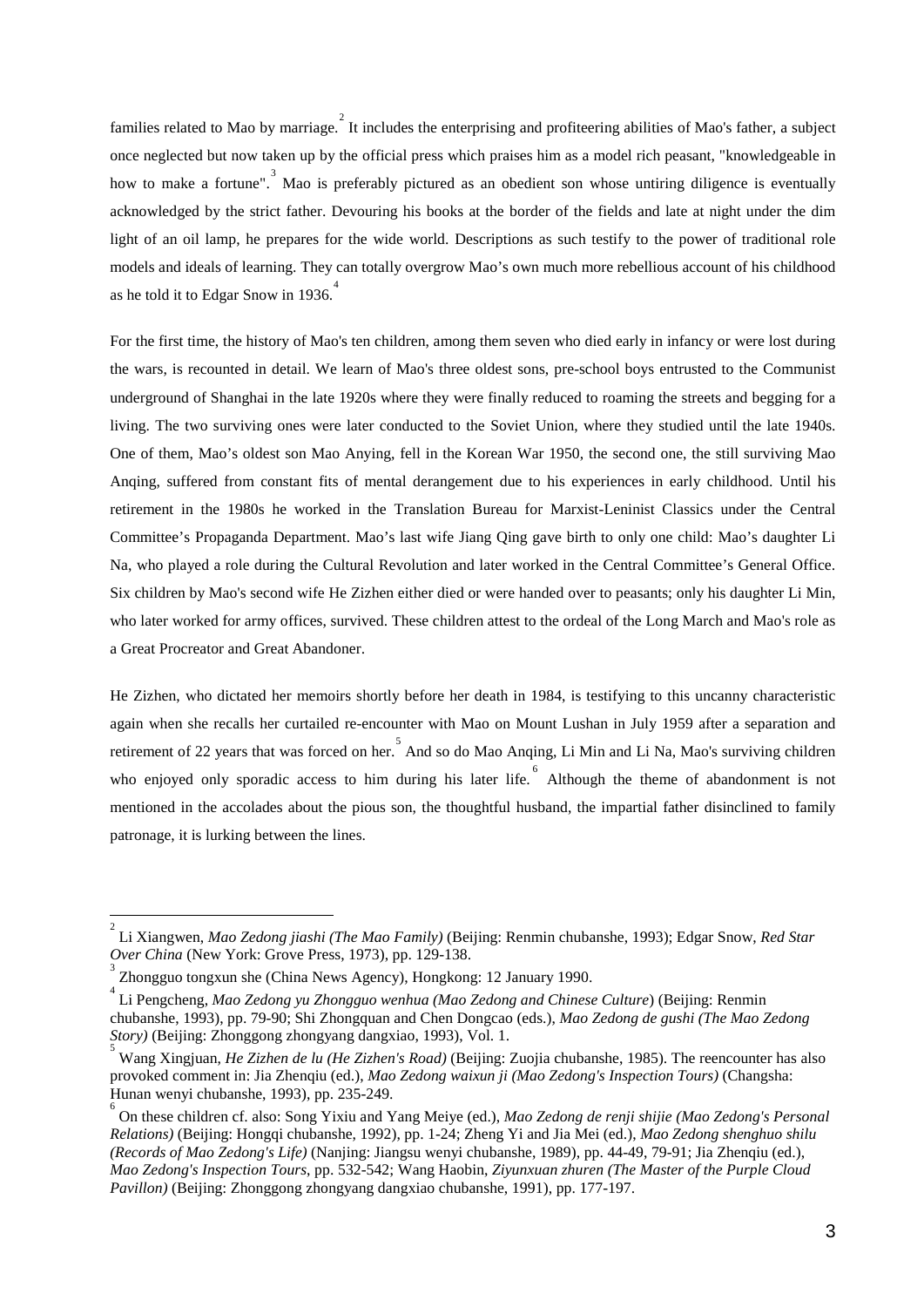families related to Mao by marriage. It includes the enterprising and profiteering abilities of Mao's father, a subject once neglected but now taken up by the official press which praises him as a model rich peasant, "knowledgeable in how to make a fortune".<sup>[3](#page-4-1)</sup> Mao is preferably pictured as an obedient son whose untiring diligence is eventually acknowledged by the strict father. Devouring his books at the border of the fields and late at night under the dim light of an oil lamp, he prepares for the wide world. Descriptions as such testify to the power of traditional role models and ideals of learning. They can totally overgrow Mao's own much more rebellious account of his childhood as he told it to Edgar Snow in 1936.<sup>[4](#page-4-2)</sup>

For the first time, the history of Mao's ten children, among them seven who died early in infancy or were lost during the wars, is recounted in detail. We learn of Mao's three oldest sons, pre-school boys entrusted to the Communist underground of Shanghai in the late 1920s where they were finally reduced to roaming the streets and begging for a living. The two surviving ones were later conducted to the Soviet Union, where they studied until the late 1940s. One of them, Mao's oldest son Mao Anying, fell in the Korean War 1950, the second one, the still surviving Mao Anqing, suffered from constant fits of mental derangement due to his experiences in early childhood. Until his retirement in the 1980s he worked in the Translation Bureau for Marxist-Leninist Classics under the Central Committee's Propaganda Department. Mao's last wife Jiang Qing gave birth to only one child: Mao's daughter Li Na, who played a role during the Cultural Revolution and later worked in the Central Committee's General Office. Six children by Mao's second wife He Zizhen either died or were handed over to peasants; only his daughter Li Min, who later worked for army offices, survived. These children attest to the ordeal of the Long March and Mao's role as a Great Procreator and Great Abandoner.

He Zizhen, who dictated her memoirs shortly before her death in 1984, is testifying to this uncanny characteristic again when she recalls her curtailed re-encounter with Mao on Mount Lushan in July 1959 after a separation and retirement of 22 years that was forced on her. And so do Mao Anqing, Li Min and Li Na, Mao's surviving children who enjoyed only sporadic access to him during his later life. <sup>[6](#page-4-4)</sup> Although the theme of abandonment is not mentioned in the accolades about the pious son, the thoughtful husband, the impartial father disinclined to family patronage, it is lurking between the lines.

 $\overline{a}$ 

<span id="page-4-0"></span><sup>2</sup> Li Xiangwen, *Mao Zedong jiashi (The Mao Family)* (Beijing: Renmin chubanshe, 1993); Edgar Snow, *Red Star Over China* (New York: Grove Press, 1973), pp. 129-138. <sup>3</sup>

<span id="page-4-1"></span>Zhongguo tongxun she (China News Agency), Hongkong: 12 January 1990.

<span id="page-4-2"></span><sup>4</sup> Li Pengcheng, *Mao Zedong yu Zhongguo wenhua (Mao Zedong and Chinese Culture*) (Beijing: Renmin chubanshe, 1993), pp. 79-90; Shi Zhongquan and Chen Dongcao (eds.), *Mao Zedong de gushi (The Mao Zedong Story*) (Beijing: Zhonggong zhongyang dangxiao, 1993), Vol. 1.

<span id="page-4-3"></span>Wang Xingjuan, *He Zizhen de lu (He Zizhen's Road)* (Beijing: Zuojia chubanshe, 1985). The reencounter has also provoked comment in: Jia Zhenqiu (ed.), *Mao Zedong waixun ji (Mao Zedong's Inspection Tours)* (Changsha: Hunan wenyi chubanshe, 1993), pp. 235-249. <sup>6</sup>

<span id="page-4-4"></span>On these children cf. also: Song Yixiu and Yang Meiye (ed.), *Mao Zedong de renji shijie (Mao Zedong's Personal Relations)* (Beijing: Hongqi chubanshe, 1992), pp. 1-24; Zheng Yi and Jia Mei (ed.), *Mao Zedong shenghuo shilu (Records of Mao Zedong's Life)* (Nanjing: Jiangsu wenyi chubanshe, 1989), pp. 44-49, 79-91; Jia Zhenqiu (ed.), *Mao Zedong's Inspection Tours*, pp. 532-542; Wang Haobin, *Ziyunxuan zhuren (The Master of the Purple Cloud Pavillon)* (Beijing: Zhonggong zhongyang dangxiao chubanshe, 1991), pp. 177-197.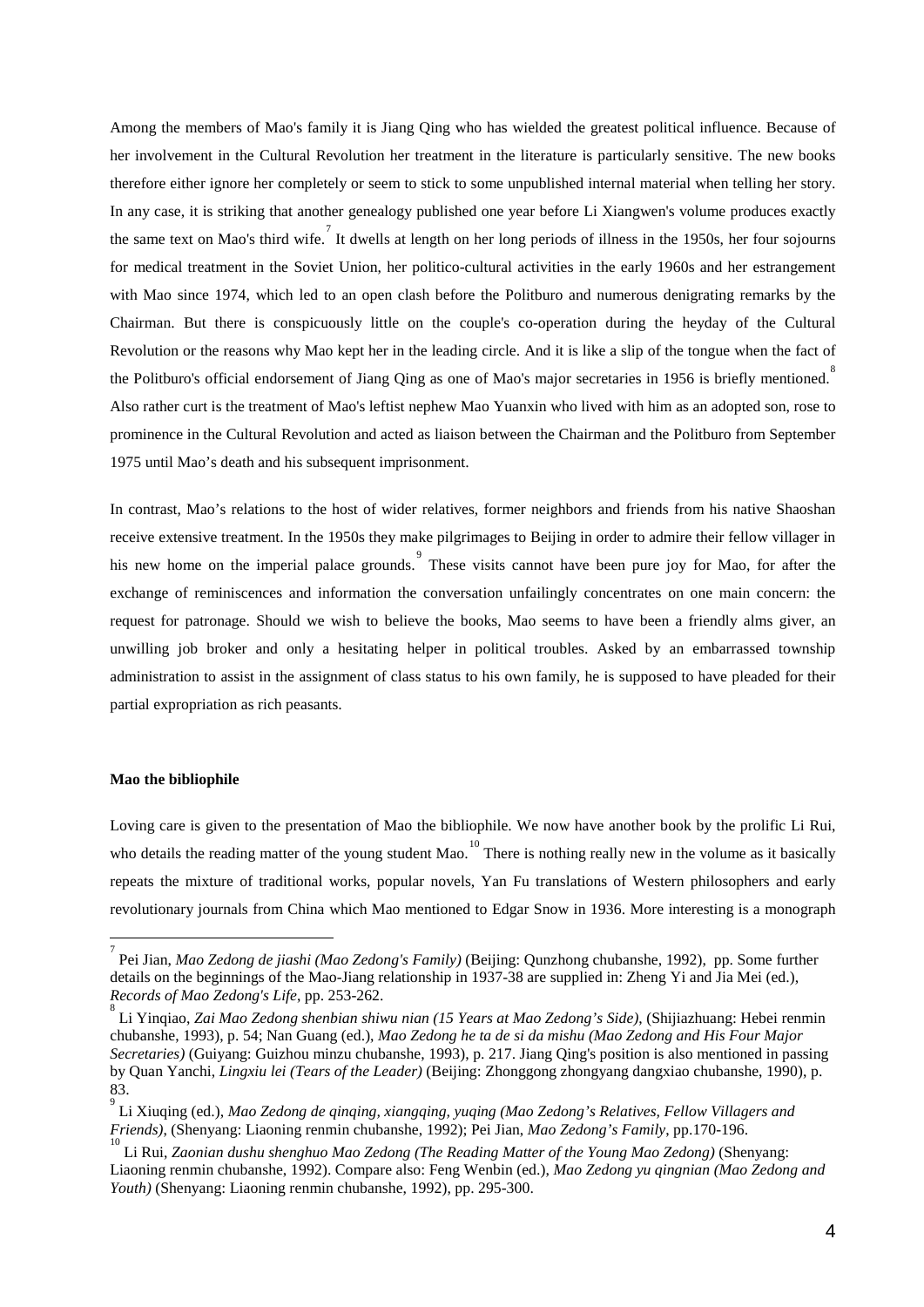Among the members of Mao's family it is Jiang Qing who has wielded the greatest political influence. Because of her involvement in the Cultural Revolution her treatment in the literature is particularly sensitive. The new books therefore either ignore her completely or seem to stick to some unpublished internal material when telling her story. In any case, it is striking that another genealogy published one year before Li Xiangwen's volume produces exactly the same text on Mao's third wife. It dwells at length on her long periods of illness in the 1950s, her four sojourns for medical treatment in the Soviet Union, her politico-cultural activities in the early 1960s and her estrangement with Mao since 1974, which led to an open clash before the Politburo and numerous denigrating remarks by the Chairman. But there is conspicuously little on the couple's co-operation during the heyday of the Cultural Revolution or the reasons why Mao kept her in the leading circle. And it is like a slip of the tongue when the fact of the Politburo's official endorsement of Jiang Qing as one of Mao's major secretaries in 1956 is briefly mentioned.<sup>[8](#page-5-1)</sup> Also rather curt is the treatment of Mao's leftist nephew Mao Yuanxin who lived with him as an adopted son, rose to prominence in the Cultural Revolution and acted as liaison between the Chairman and the Politburo from September 1975 until Mao's death and his subsequent imprisonment.

In contrast, Mao's relations to the host of wider relatives, former neighbors and friends from his native Shaoshan receive extensive treatment. In the 1950s they make pilgrimages to Beijing in order to admire their fellow villager in his new home on the imperial palace grounds. These visits cannot have been pure joy for Mao, for after the exchange of reminiscences and information the conversation unfailingly concentrates on one main concern: the request for patronage. Should we wish to believe the books, Mao seems to have been a friendly alms giver, an unwilling job broker and only a hesitating helper in political troubles. Asked by an embarrassed township administration to assist in the assignment of class status to his own family, he is supposed to have pleaded for their partial expropriation as rich peasants.

#### **Mao the bibliophile**

-

Loving care is given to the presentation of Mao the bibliophile. We now have another book by the prolific Li Rui, who details the reading matter of the young student Mao.<sup>[10](#page-5-3)</sup> There is nothing really new in the volume as it basically repeats the mixture of traditional works, popular novels, Yan Fu translations of Western philosophers and early revolutionary journals from China which Mao mentioned to Edgar Snow in 1936. More interesting is a monograph

<span id="page-5-0"></span><sup>7</sup> Pei Jian, *Mao Zedong de jiashi (Mao Zedong's Family)* (Beijing: Qunzhong chubanshe, 1992), pp. Some further details on the beginnings of the Mao-Jiang relationship in 1937-38 are supplied in: Zheng Yi and Jia Mei (ed.), *Records of Mao Zedong's Life*, pp. 253-262. <sup>8</sup>

<span id="page-5-1"></span>Li Yinqiao, *Zai Mao Zedong shenbian shiwu nian (15 Years at Mao Zedong's Side)*, (Shijiazhuang: Hebei renmin chubanshe, 1993), p. 54; Nan Guang (ed.), *Mao Zedong he ta de si da mishu (Mao Zedong and His Four Major Secretaries)* (Guiyang: Guizhou minzu chubanshe, 1993), p. 217. Jiang Qing's position is also mentioned in passing by Quan Yanchi, *Lingxiu lei (Tears of the Leader)* (Beijing: Zhonggong zhongyang dangxiao chubanshe, 1990), p. 83.

<span id="page-5-2"></span><sup>9</sup> Li Xiuqing (ed.), *Mao Zedong de qinqing, xiangqing, yuqing (Mao Zedong's Relatives, Fellow Villagers and Friends)*, (Shenyang: Liaoning renmin chubanshe, 1992); Pei Jian, *Mao Zedong's Family*, pp.170-196. 10

<span id="page-5-3"></span>Li Rui, *Zaonian dushu shenghuo Mao Zedong (The Reading Matter of the Young Mao Zedong)* (Shenyang: Liaoning renmin chubanshe, 1992). Compare also: Feng Wenbin (ed.), *Mao Zedong yu qingnian (Mao Zedong and Youth)* (Shenyang: Liaoning renmin chubanshe, 1992), pp. 295-300.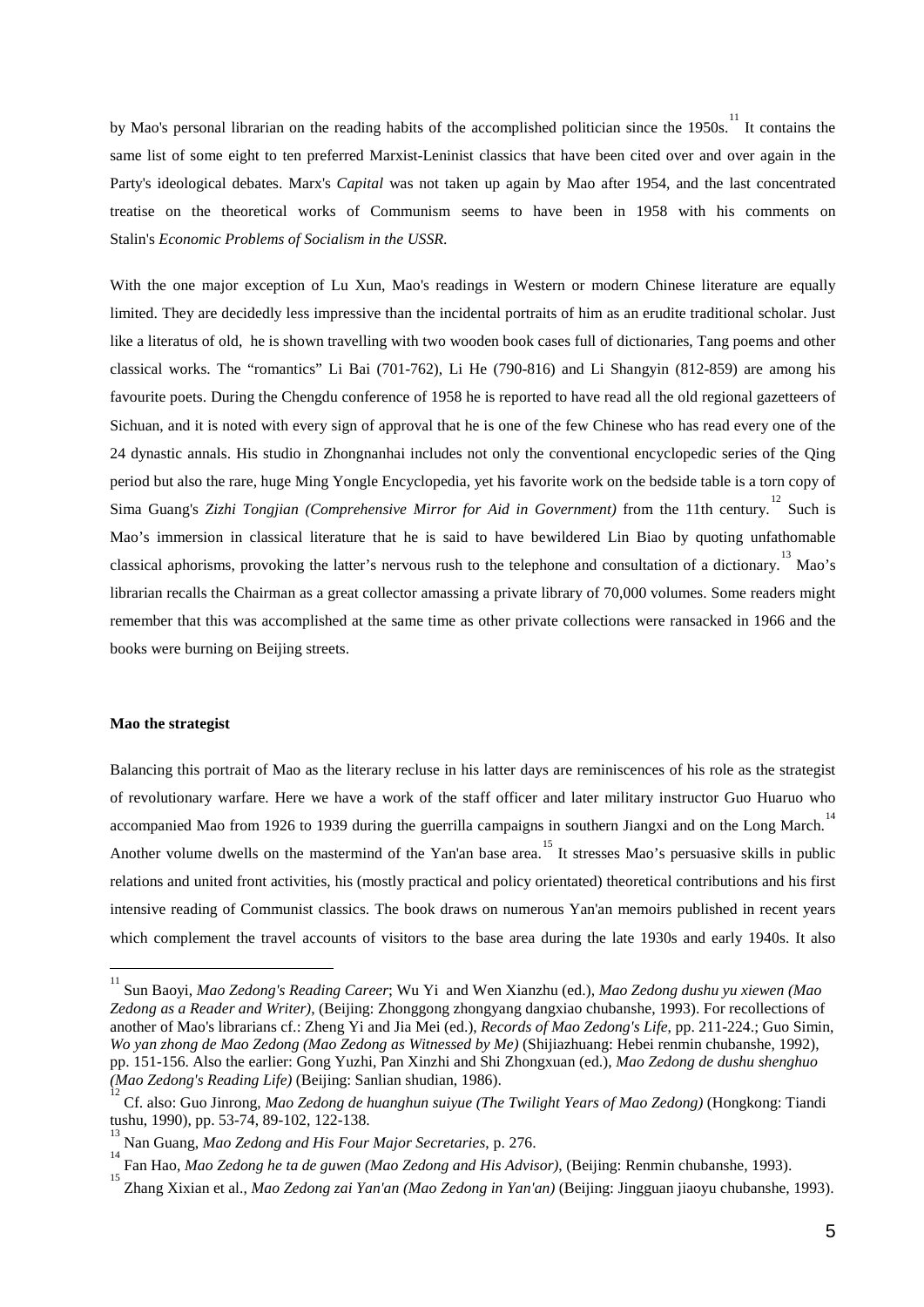by Mao's personal librarian on the reading habits of the accomplished politician since the 1950s.<sup>[11](#page-6-0)</sup> It contains the same list of some eight to ten preferred Marxist-Leninist classics that have been cited over and over again in the Party's ideological debates. Marx's *Capital* was not taken up again by Mao after 1954, and the last concentrated treatise on the theoretical works of Communism seems to have been in 1958 with his comments on Stalin's *Economic Problems of Socialism in the USSR*.

With the one major exception of Lu Xun, Mao's readings in Western or modern Chinese literature are equally limited. They are decidedly less impressive than the incidental portraits of him as an erudite traditional scholar. Just like a literatus of old, he is shown travelling with two wooden book cases full of dictionaries, Tang poems and other classical works. The "romantics" Li Bai (701-762), Li He (790-816) and Li Shangyin (812-859) are among his favourite poets. During the Chengdu conference of 1958 he is reported to have read all the old regional gazetteers of Sichuan, and it is noted with every sign of approval that he is one of the few Chinese who has read every one of the 24 dynastic annals. His studio in Zhongnanhai includes not only the conventional encyclopedic series of the Qing period but also the rare, huge Ming Yongle Encyclopedia, yet his favorite work on the bedside table is a torn copy of Sima Guang's Zizhi Tongjian (Comprehensive Mirror for Aid in Government) from the 11th century.<sup>[12](#page-6-1)</sup> Such is Mao's immersion in classical literature that he is said to have bewildered Lin Biao by quoting unfathomable classical aphorisms, provoking the latter's nervous rush to the telephone and consultation of a dictionary.<sup>[13](#page-6-2)</sup> Mao's librarian recalls the Chairman as a great collector amassing a private library of 70,000 volumes. Some readers might remember that this was accomplished at the same time as other private collections were ransacked in 1966 and the books were burning on Beijing streets.

#### **Mao the strategist**

 $\overline{a}$ 

Balancing this portrait of Mao as the literary recluse in his latter days are reminiscences of his role as the strategist of revolutionary warfare. Here we have a work of the staff officer and later military instructor Guo Huaruo who accompanied Mao from 1926 to 1939 during the guerrilla campaigns in southern Jiangxi and on the Long March.<sup>[14](#page-6-3)</sup> Another volume dwells on the mastermind of the Yan'an base area. It stresses Mao's persuasive skills in public relations and united front activities, his (mostly practical and policy orientated) theoretical contributions and his first intensive reading of Communist classics. The book draws on numerous Yan'an memoirs published in recent years which complement the travel accounts of visitors to the base area during the late 1930s and early 1940s. It also

<span id="page-6-0"></span><sup>11</sup> Sun Baoyi, *Mao Zedong's Reading Career*; Wu Yi and Wen Xianzhu (ed.), *Mao Zedong dushu yu xiewen (Mao Zedong as a Reader and Writer)*, (Beijing: Zhonggong zhongyang dangxiao chubanshe, 1993). For recollections of another of Mao's librarians cf.: Zheng Yi and Jia Mei (ed.), *Records of Mao Zedong's Life*, pp. 211-224.; Guo Simin, *Wo yan zhong de Mao Zedong (Mao Zedong as Witnessed by Me)* (Shijiazhuang: Hebei renmin chubanshe, 1992), pp. 151-156. Also the earlier: Gong Yuzhi, Pan Xinzhi and Shi Zhongxuan (ed.), *Mao Zedong de dushu shenghuo (Mao Zedong's Reading Life)* (Beijing: Sanlian shudian, 1986). <sup>12</sup>

<span id="page-6-1"></span>Cf. also: Guo Jinrong, *Mao Zedong de huanghun suiyue (The Twilight Years of Mao Zedong)* (Hongkong: Tiandi tushu, 1990), pp. 53-74, 89-102, 122-138.

<span id="page-6-2"></span>Nan Guang, *Mao Zedong and His Four Major Secretaries*, p. 276. <sup>14</sup>

<span id="page-6-3"></span><sup>&</sup>lt;sup>14</sup> Fan Hao, *Mao Zedong he ta de guwen (Mao Zedong and His Advisor)*, (Beijing: Renmin chubanshe, 1993). <sup>15</sup> The March 2001 of the March 2001 of the March 2001 of the March 2001 of the March 2001 of the March 2001 of th

<span id="page-6-4"></span>Zhang Xixian et al., *Mao Zedong zai Yan'an (Mao Zedong in Yan'an)* (Beijing: Jingguan jiaoyu chubanshe, 1993).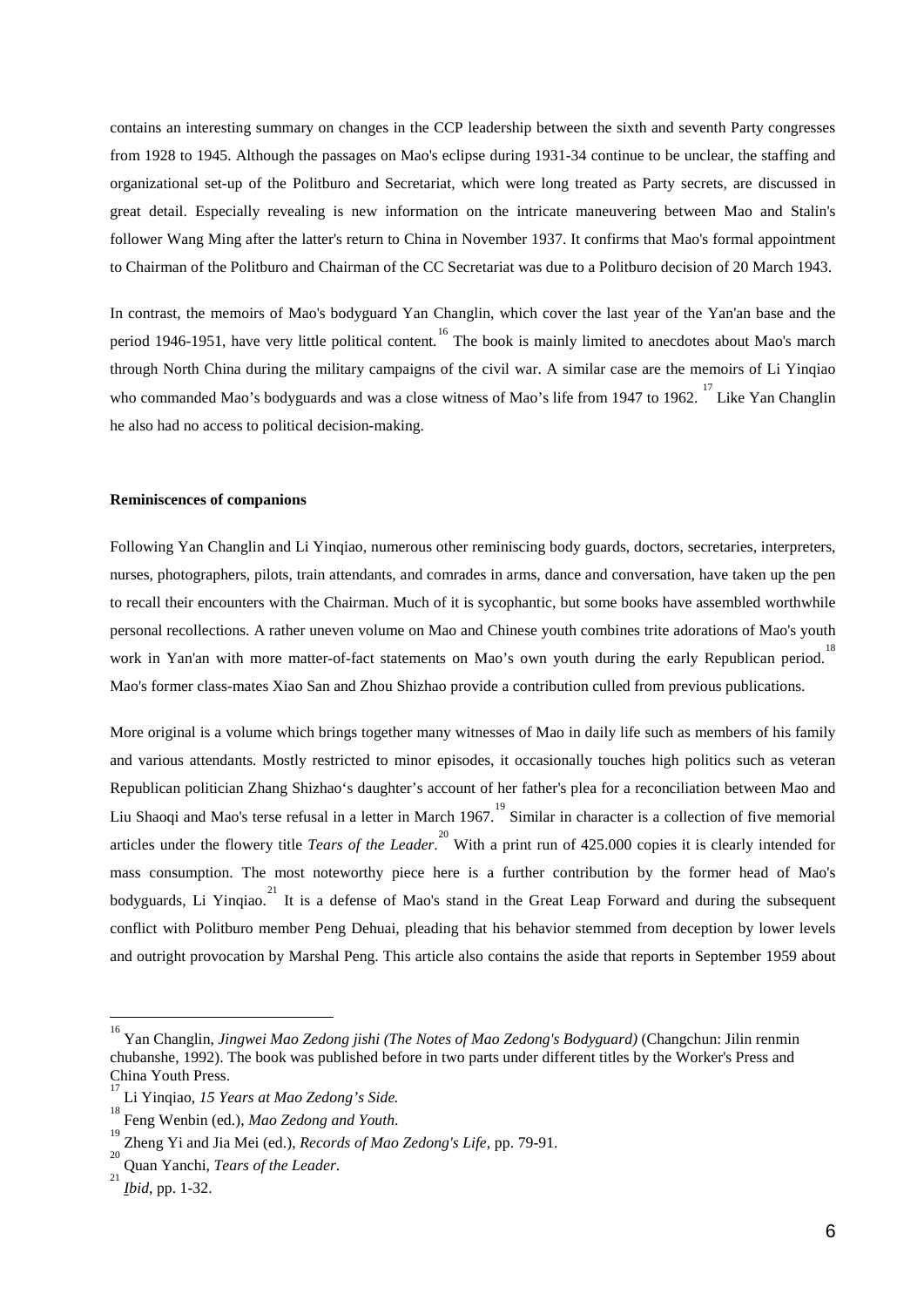contains an interesting summary on changes in the CCP leadership between the sixth and seventh Party congresses from 1928 to 1945. Although the passages on Mao's eclipse during 1931-34 continue to be unclear, the staffing and organizational set-up of the Politburo and Secretariat, which were long treated as Party secrets, are discussed in great detail. Especially revealing is new information on the intricate maneuvering between Mao and Stalin's follower Wang Ming after the latter's return to China in November 1937. It confirms that Mao's formal appointment to Chairman of the Politburo and Chairman of the CC Secretariat was due to a Politburo decision of 20 March 1943.

In contrast, the memoirs of Mao's bodyguard Yan Changlin, which cover the last year of the Yan'an base and the period 1946-1951, have very little political content. <sup>[16](#page-7-0)</sup> The book is mainly limited to anecdotes about Mao's march through North China during the military campaigns of the civil war. A similar case are the memoirs of Li Yinqiao who commanded Mao's bodyguards and was a close witness of Mao's life from 1947 to 1962.<sup>[17](#page-7-1)</sup> Like Yan Changlin he also had no access to political decision-making.

#### **Reminiscences of companions**

Following Yan Changlin and Li Yinqiao, numerous other reminiscing body guards, doctors, secretaries, interpreters, nurses, photographers, pilots, train attendants, and comrades in arms, dance and conversation, have taken up the pen to recall their encounters with the Chairman. Much of it is sycophantic, but some books have assembled worthwhile personal recollections. A rather uneven volume on Mao and Chinese youth combines trite adorations of Mao's youth work in Yan'an with more matter-of-fact statements on Mao's own youth during the early Republican period.<sup>[18](#page-7-2)</sup> Mao's former class-mates Xiao San and Zhou Shizhao provide a contribution culled from previous publications.

More original is a volume which brings together many witnesses of Mao in daily life such as members of his family and various attendants. Mostly restricted to minor episodes, it occasionally touches high politics such as veteran Republican politician Zhang Shizhao's daughter's account of her father's plea for a reconciliation between Mao and Liu Shaoqi and Mao's terse refusal in a letter in March [19](#page-7-3)67.<sup>19</sup> Similar in character is a collection of five memorial articles under the flowery title *Tears of the Leader*. [20](#page-7-4) With a print run of 425.000 copies it is clearly intended for mass consumption. The most noteworthy piece here is a further contribution by the former head of Mao's bodyguards, Li Yinqiao.<sup>[21](#page-7-5)</sup> It is a defense of Mao's stand in the Great Leap Forward and during the subsequent conflict with Politburo member Peng Dehuai, pleading that his behavior stemmed from deception by lower levels and outright provocation by Marshal Peng. This article also contains the aside that reports in September 1959 about

 $\overline{a}$ 

<span id="page-7-0"></span><sup>16</sup> Yan Changlin, *Jingwei Mao Zedong jishi (The Notes of Mao Zedong's Bodyguard)* (Changchun: Jilin renmin chubanshe, 1992). The book was published before in two parts under different titles by the Worker's Press and China Youth Press.

<span id="page-7-1"></span><sup>17</sup> Li Yinqiao, *15 Years at Mao Zedong's Side.* <sup>18</sup>

<span id="page-7-2"></span>Feng Wenbin (ed.), *Mao Zedong and Youth*.

<span id="page-7-4"></span><span id="page-7-3"></span><sup>&</sup>lt;sup>19</sup> Zheng Yi and Jia Mei (ed.), *Records of Mao Zedong's Life*, pp. 79-91.

Quan Yanchi, *Tears of the Leader*.

<span id="page-7-5"></span>*Ibid*, pp. 1-32.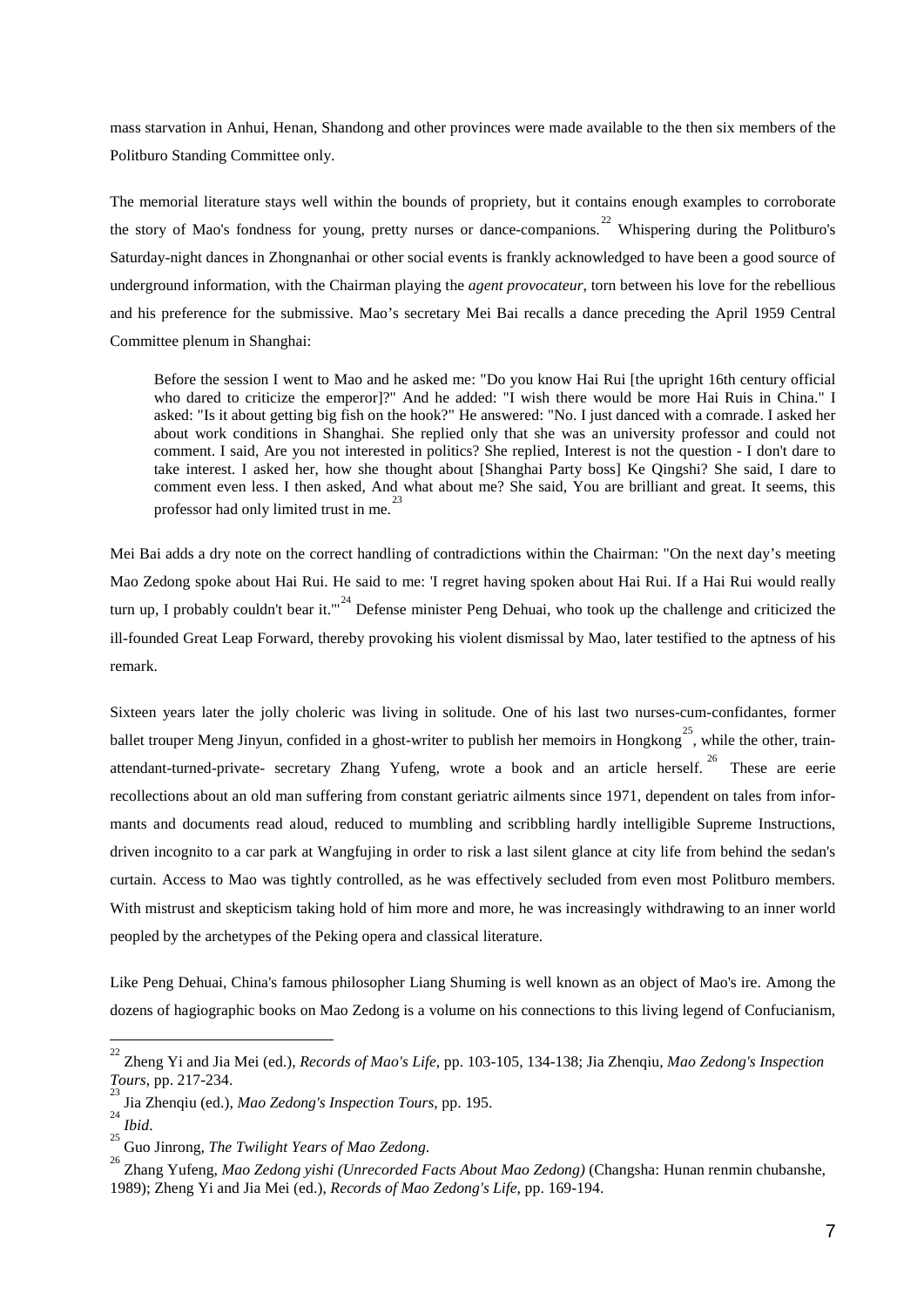mass starvation in Anhui, Henan, Shandong and other provinces were made available to the then six members of the Politburo Standing Committee only.

The memorial literature stays well within the bounds of propriety, but it contains enough examples to corroborate the story of Mao's fondness for young, pretty nurses or dance-companions.<sup>[22](#page-8-0)</sup> Whispering during the Politburo's Saturday-night dances in Zhongnanhai or other social events is frankly acknowledged to have been a good source of underground information, with the Chairman playing the *agent provocateur*, torn between his love for the rebellious and his preference for the submissive. Mao's secretary Mei Bai recalls a dance preceding the April 1959 Central Committee plenum in Shanghai:

Before the session I went to Mao and he asked me: "Do you know Hai Rui [the upright 16th century official who dared to criticize the emperor]?" And he added: "I wish there would be more Hai Ruis in China." I asked: "Is it about getting big fish on the hook?" He answered: "No. I just danced with a comrade. I asked her about work conditions in Shanghai. She replied only that she was an university professor and could not comment. I said, Are you not interested in politics? She replied, Interest is not the question - I don't dare to take interest. I asked her, how she thought about [Shanghai Party boss] Ke Qingshi? She said, I dare to comment even less. I then asked, And what about me? She said, You are brilliant and great. It seems, this professor had only limited trust in me.<sup>2</sup>

Mei Bai adds a dry note on the correct handling of contradictions within the Chairman: "On the next day's meeting Mao Zedong spoke about Hai Rui. He said to me: 'I regret having spoken about Hai Rui. If a Hai Rui would really turn up, I probably couldn't bear it."<sup>[24](#page-8-2)</sup> Defense minister Peng Dehuai, who took up the challenge and criticized the ill-founded Great Leap Forward, thereby provoking his violent dismissal by Mao, later testified to the aptness of his remark.

Sixteen years later the jolly choleric was living in solitude. One of his last two nurses-cum-confidantes, former ballet trouper Meng Jinyun, confided in a ghost-writer to publish her memoirs in Hongkong<sup>[25](#page-8-3)</sup>, while the other, train-attendant-turned-private- secretary Zhang Yufeng, wrote a book and an article herself.<sup>[26](#page-8-4)</sup> These are eerie recollections about an old man suffering from constant geriatric ailments since 1971, dependent on tales from informants and documents read aloud, reduced to mumbling and scribbling hardly intelligible Supreme Instructions, driven incognito to a car park at Wangfujing in order to risk a last silent glance at city life from behind the sedan's curtain. Access to Mao was tightly controlled, as he was effectively secluded from even most Politburo members. With mistrust and skepticism taking hold of him more and more, he was increasingly withdrawing to an inner world peopled by the archetypes of the Peking opera and classical literature.

Like Peng Dehuai, China's famous philosopher Liang Shuming is well known as an object of Mao's ire. Among the dozens of hagiographic books on Mao Zedong is a volume on his connections to this living legend of Confucianism,

<span id="page-8-0"></span> $\frac{1}{22}$ Zheng Yi and Jia Mei (ed.), *Records of Mao's Life*, pp. 103-105, 134-138; Jia Zhenqiu, *Mao Zedong's Inspection Tours*, pp. 217-234.

<span id="page-8-1"></span>Jia Zhenqiu (ed.), *Mao Zedong's Inspection Tours*, pp. 195. <sup>24</sup>

<span id="page-8-3"></span><span id="page-8-2"></span><sup>&</sup>lt;sup>24</sup> Ibid.<br><sup>25</sup> Guo Jinrong. *The Twilight Years of Mao Zedong*. Guo Jinrong, *The Twilight Years of Mao Zedong*. <sup>26</sup>

<span id="page-8-4"></span>Zhang Yufeng, *Mao Zedong yishi (Unrecorded Facts About Mao Zedong)* (Changsha: Hunan renmin chubanshe, 1989); Zheng Yi and Jia Mei (ed.), *Records of Mao Zedong's Life*, pp. 169-194.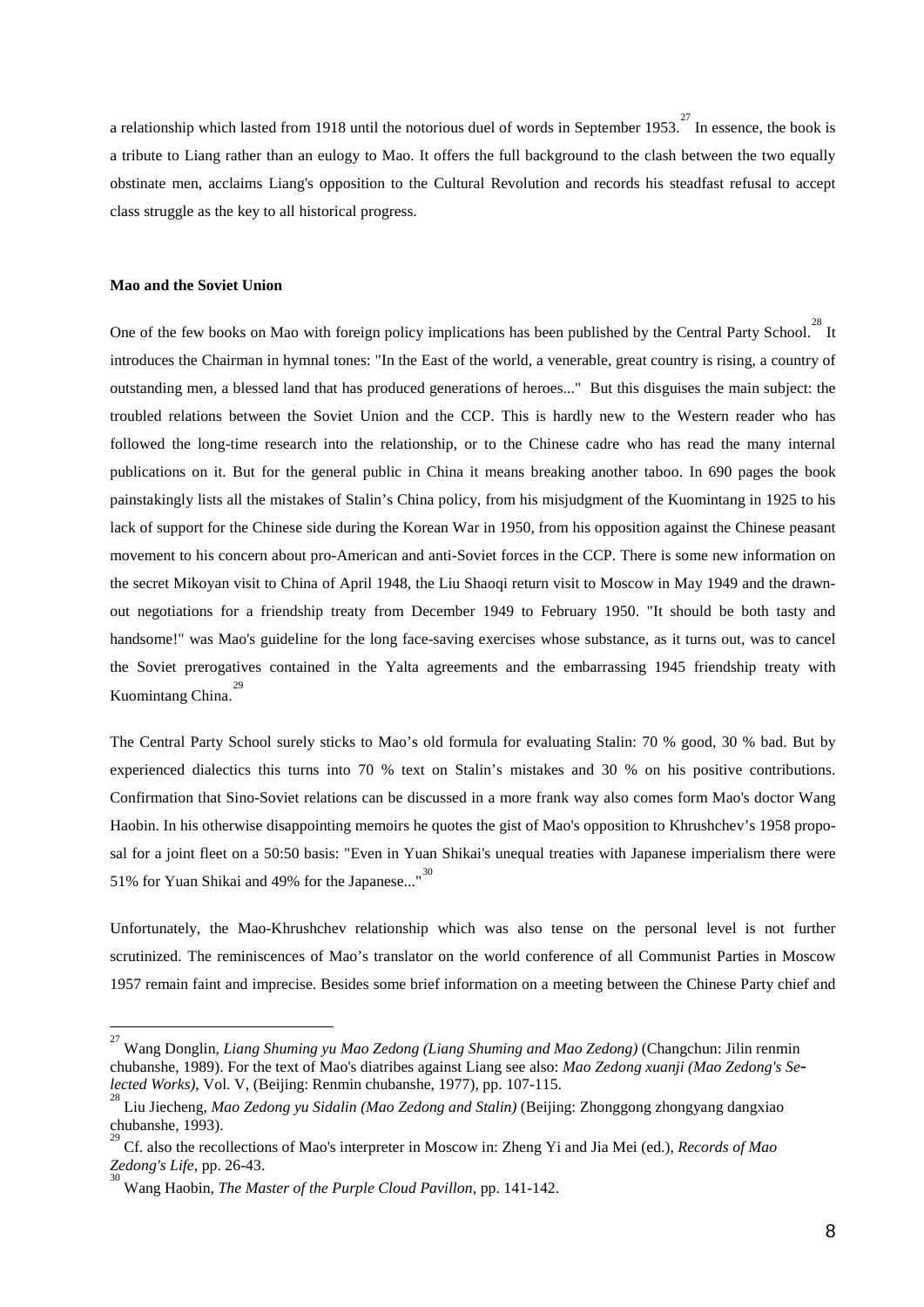a relationship which lasted from 1918 until the notorious duel of words in September 1953.<sup>[27](#page-9-0)</sup> In essence, the book is a tribute to Liang rather than an eulogy to Mao. It offers the full background to the clash between the two equally obstinate men, acclaims Liang's opposition to the Cultural Revolution and records his steadfast refusal to accept class struggle as the key to all historical progress.

#### **Mao and the Soviet Union**

 $\overline{a}$ 

One of the few books on Mao with foreign policy implications has been published by the Central Party School.<sup>[28](#page-9-1)</sup> It introduces the Chairman in hymnal tones: "In the East of the world, a venerable, great country is rising, a country of outstanding men, a blessed land that has produced generations of heroes..." But this disguises the main subject: the troubled relations between the Soviet Union and the CCP. This is hardly new to the Western reader who has followed the long-time research into the relationship, or to the Chinese cadre who has read the many internal publications on it. But for the general public in China it means breaking another taboo. In 690 pages the book painstakingly lists all the mistakes of Stalin's China policy, from his misjudgment of the Kuomintang in 1925 to his lack of support for the Chinese side during the Korean War in 1950, from his opposition against the Chinese peasant movement to his concern about pro-American and anti-Soviet forces in the CCP. There is some new information on the secret Mikoyan visit to China of April 1948, the Liu Shaoqi return visit to Moscow in May 1949 and the drawnout negotiations for a friendship treaty from December 1949 to February 1950. "It should be both tasty and handsome!" was Mao's guideline for the long face-saving exercises whose substance, as it turns out, was to cancel the Soviet prerogatives contained in the Yalta agreements and the embarrassing 1945 friendship treaty with Kuomintang China. [29](#page-9-2)

The Central Party School surely sticks to Mao's old formula for evaluating Stalin: 70 % good, 30 % bad. But by experienced dialectics this turns into 70 % text on Stalin's mistakes and 30 % on his positive contributions. Confirmation that Sino-Soviet relations can be discussed in a more frank way also comes form Mao's doctor Wang Haobin. In his otherwise disappointing memoirs he quotes the gist of Mao's opposition to Khrushchev's 1958 proposal for a joint fleet on a 50:50 basis: "Even in Yuan Shikai's unequal treaties with Japanese imperialism there were 51% for Yuan Shikai and 49% for the Japanese..."<sup>[30](#page-9-3)</sup>

Unfortunately, the Mao-Khrushchev relationship which was also tense on the personal level is not further scrutinized. The reminiscences of Mao's translator on the world conference of all Communist Parties in Moscow 1957 remain faint and imprecise. Besides some brief information on a meeting between the Chinese Party chief and

<span id="page-9-0"></span><sup>27</sup> Wang Donglin, *Liang Shuming yu Mao Zedong (Liang Shuming and Mao Zedong)* (Changchun: Jilin renmin chubanshe, 1989). For the text of Mao's diatribes against Liang see also: *Mao Zedong xuanji (Mao Zedong's Se lected Works*), Vol. V, (Beijing: Renmin chubanshe, 1977), pp. 107-115.

<span id="page-9-1"></span>Liu Jiecheng, *Mao Zedong yu Sidalin (Mao Zedong and Stalin)* (Beijing: Zhonggong zhongyang dangxiao chubanshe, 1993). 29

<span id="page-9-2"></span>Cf. also the recollections of Mao's interpreter in Moscow in: Zheng Yi and Jia Mei (ed.), *Records of Mao Zedong's Life*, pp. 26-43.

<span id="page-9-3"></span>Wang Haobin, *The Master of the Purple Cloud Pavillon*, pp. 141-142.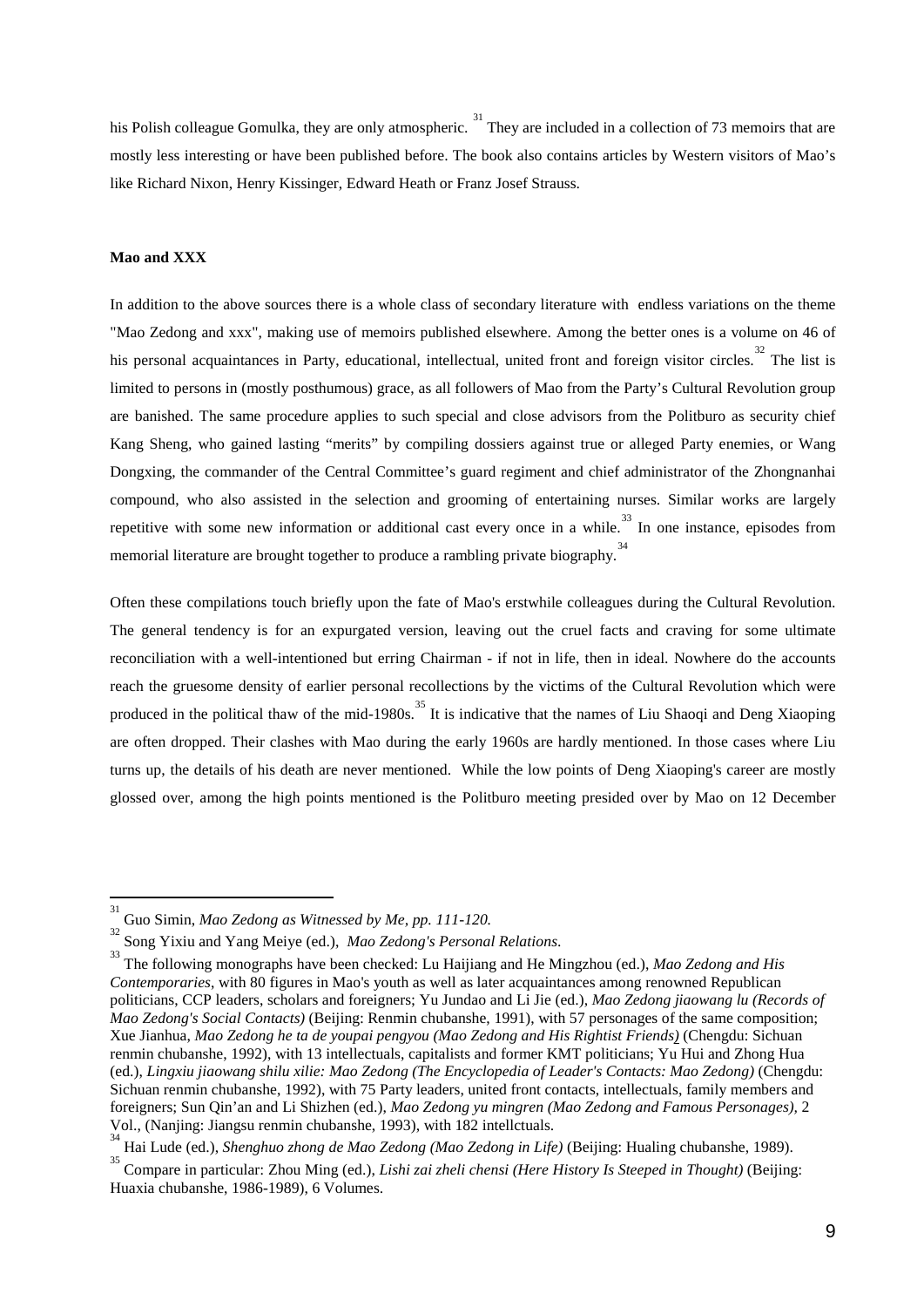his Polish colleague Gomulka, they are only atmospheric. <sup>[31](#page-10-0)</sup> They are included in a collection of 73 memoirs that are mostly less interesting or have been published before. The book also contains articles by Western visitors of Mao's like Richard Nixon, Henry Kissinger, Edward Heath or Franz Josef Strauss.

#### **Mao and XXX**

-

In addition to the above sources there is a whole class of secondary literature with endless variations on the theme "Mao Zedong and xxx", making use of memoirs published elsewhere. Among the better ones is a volume on 46 of his personal acquaintances in Party, educational, intellectual, united front and foreign visitor circles.<sup>[32](#page-10-1)</sup> The list is limited to persons in (mostly posthumous) grace, as all followers of Mao from the Party's Cultural Revolution group are banished. The same procedure applies to such special and close advisors from the Politburo as security chief Kang Sheng, who gained lasting "merits" by compiling dossiers against true or alleged Party enemies, or Wang Dongxing, the commander of the Central Committee's guard regiment and chief administrator of the Zhongnanhai compound, who also assisted in the selection and grooming of entertaining nurses. Similar works are largely repetitive with some new information or additional cast every once in a while.<sup>[33](#page-10-2)</sup> In one instance, episodes from memorial literature are brought together to produce a rambling private biography.<sup>[34](#page-10-3)</sup>

Often these compilations touch briefly upon the fate of Mao's erstwhile colleagues during the Cultural Revolution. The general tendency is for an expurgated version, leaving out the cruel facts and craving for some ultimate reconciliation with a well-intentioned but erring Chairman - if not in life, then in ideal. Nowhere do the accounts reach the gruesome density of earlier personal recollections by the victims of the Cultural Revolution which were produced in the political thaw of the mid-1980s.<sup>[35](#page-10-4)</sup> It is indicative that the names of Liu Shaoqi and Deng Xiaoping are often dropped. Their clashes with Mao during the early 1960s are hardly mentioned. In those cases where Liu turns up, the details of his death are never mentioned. While the low points of Deng Xiaoping's career are mostly glossed over, among the high points mentioned is the Politburo meeting presided over by Mao on 12 December

<span id="page-10-0"></span><sup>31</sup> <sup>51</sup> Guo Simin, *Mao Zedong as Witnessed by Me, pp. 111-120.* 

Song Yixiu and Yang Meiye (ed.), *Mao Zedong's Personal Relations*. 33

<span id="page-10-2"></span><span id="page-10-1"></span>The following monographs have been checked: Lu Haijiang and He Mingzhou (ed.), *Mao Zedong and His Contemporaries*, with 80 figures in Mao's youth as well as later acquaintances among renowned Republican politicians, CCP leaders, scholars and foreigners; Yu Jundao and Li Jie (ed.), *Mao Zedong jiaowang lu (Records of Mao Zedong's Social Contacts)* (Beijing: Renmin chubanshe, 1991), with 57 personages of the same composition; Xue Jianhua, *Mao Zedong he ta de youpai pengyou (Mao Zedong and His Rightist Friends)* (Chengdu: Sichuan renmin chubanshe, 1992), with 13 intellectuals, capitalists and former KMT politicians; Yu Hui and Zhong Hua (ed.), *Lingxiu jiaowang shilu xilie: Mao Zedong (The Encyclopedia of Leader's Contacts: Mao Zedong)* (Chengdu: Sichuan renmin chubanshe, 1992), with 75 Party leaders, united front contacts, intellectuals, family members and foreigners; Sun Qin'an and Li Shizhen (ed.), *Mao Zedong yu mingren (Mao Zedong and Famous Personages),* 2 Vol., (Nanjing: Jiangsu renmin chubanshe, 1993), with 182 intellctuals.<br><sup>34</sup> Hai Lude (ed.), *Shenghuo zhong de Mao Zedong (Mao Zedong in Life)* (Beijing: Hualing chubanshe, 1989).

<span id="page-10-3"></span>Hai Lude (ed.), *Shenghuo zhong de Mao Zedong (Mao Zedong in Life)* (Beijing: Hualing chubanshe, 1989). <sup>35</sup>

<span id="page-10-4"></span>Compare in particular: Zhou Ming (ed.), *Lishi zai zheli chensi (Here History Is Steeped in Thought)* (Beijing: Huaxia chubanshe, 1986-1989), 6 Volumes.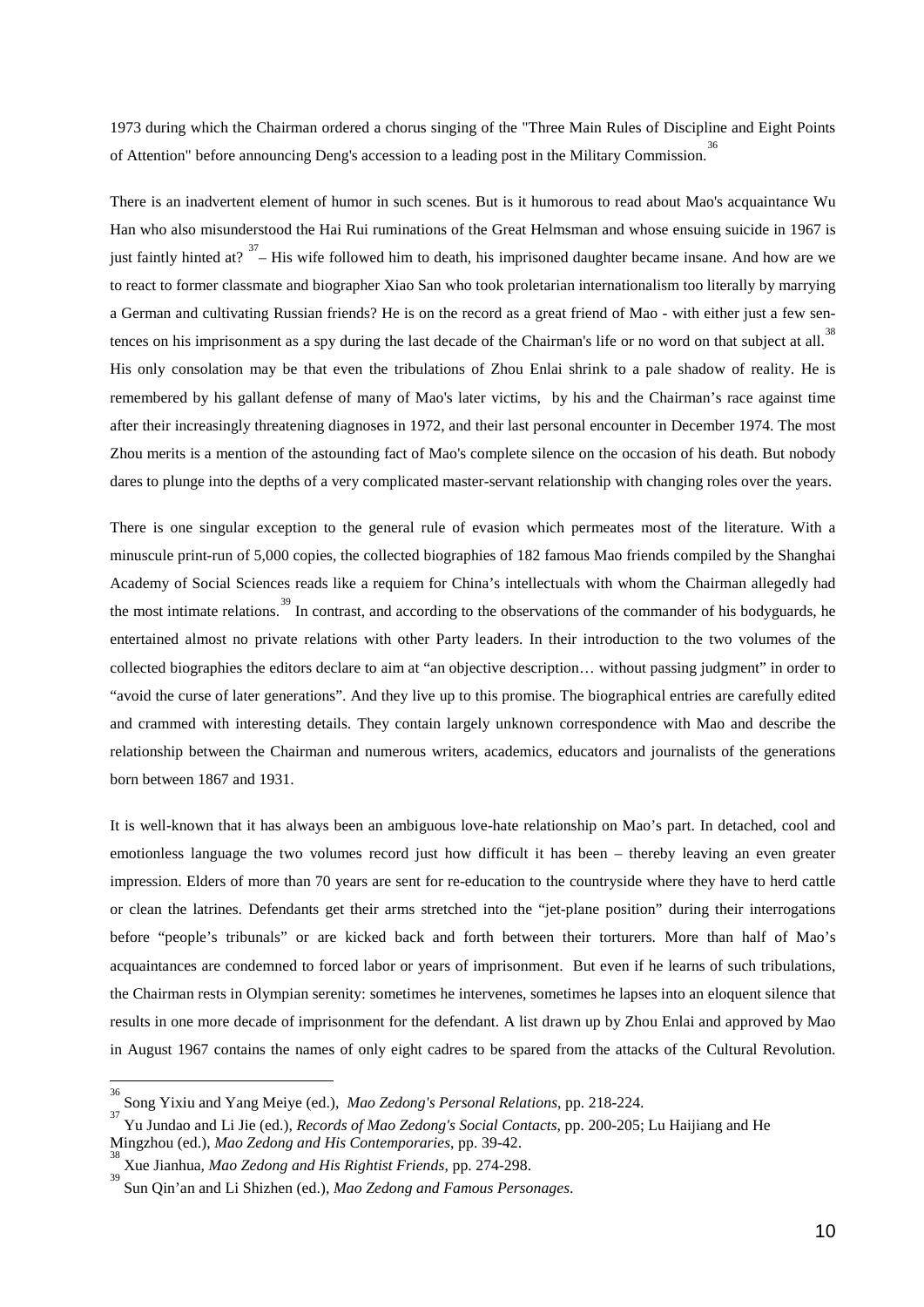1973 during which the Chairman ordered a chorus singing of the "Three Main Rules of Discipline and Eight Points of Attention" before announcing Deng's accession to a leading post in the Military Commission.<sup>[36](#page-11-0)</sup>

There is an inadvertent element of humor in such scenes. But is it humorous to read about Mao's acquaintance Wu Han who also misunderstood the Hai Rui ruminations of the Great Helmsman and whose ensuing suicide in 1967 is just faintly hinted at?  $37$  – His wife followed him to death, his imprisoned daughter became insane. And how are we to react to former classmate and biographer Xiao San who took proletarian internationalism too literally by marrying a German and cultivating Russian friends? He is on the record as a great friend of Mao - with either just a few sen-tences on his imprisonment as a spy during the last decade of the Chairman's life or no word on that subject at all.<sup>[38](#page-11-2)</sup> His only consolation may be that even the tribulations of Zhou Enlai shrink to a pale shadow of reality. He is remembered by his gallant defense of many of Mao's later victims, by his and the Chairman's race against time after their increasingly threatening diagnoses in 1972, and their last personal encounter in December 1974. The most Zhou merits is a mention of the astounding fact of Mao's complete silence on the occasion of his death. But nobody dares to plunge into the depths of a very complicated master-servant relationship with changing roles over the years.

There is one singular exception to the general rule of evasion which permeates most of the literature. With a minuscule print-run of 5,000 copies, the collected biographies of 182 famous Mao friends compiled by the Shanghai Academy of Social Sciences reads like a requiem for China's intellectuals with whom the Chairman allegedly had the most intimate relations.<sup>[39](#page-11-3)</sup> In contrast, and according to the observations of the commander of his bodyguards, he entertained almost no private relations with other Party leaders. In their introduction to the two volumes of the collected biographies the editors declare to aim at "an objective description… without passing judgment" in order to "avoid the curse of later generations". And they live up to this promise. The biographical entries are carefully edited and crammed with interesting details. They contain largely unknown correspondence with Mao and describe the relationship between the Chairman and numerous writers, academics, educators and journalists of the generations born between 1867 and 1931.

It is well-known that it has always been an ambiguous love-hate relationship on Mao's part. In detached, cool and emotionless language the two volumes record just how difficult it has been – thereby leaving an even greater impression. Elders of more than 70 years are sent for re-education to the countryside where they have to herd cattle or clean the latrines. Defendants get their arms stretched into the "jet-plane position" during their interrogations before "people's tribunals" or are kicked back and forth between their torturers. More than half of Mao's acquaintances are condemned to forced labor or years of imprisonment. But even if he learns of such tribulations, the Chairman rests in Olympian serenity: sometimes he intervenes, sometimes he lapses into an eloquent silence that results in one more decade of imprisonment for the defendant. A list drawn up by Zhou Enlai and approved by Mao in August 1967 contains the names of only eight cadres to be spared from the attacks of the Cultural Revolution.

 $\overline{a}$ 

<span id="page-11-0"></span><sup>36</sup> Song Yixiu and Yang Meiye (ed.), *Mao Zedong's Personal Relations*, pp. 218-224. <sup>37</sup>

<span id="page-11-1"></span>Yu Jundao and Li Jie (ed.), *Records of Mao Zedong's Social Contacts*, pp. 200-205; Lu Haijiang and He Mingzhou (ed.), *Mao Zedong and His Contemporaries*, pp. 39-42.

<span id="page-11-2"></span>Xue Jianhua*, Mao Zedong and His Rightist Friends*, pp. 274-298.

<span id="page-11-3"></span><sup>39</sup> Sun Qin'an and Li Shizhen (ed.), *Mao Zedong and Famous Personages*.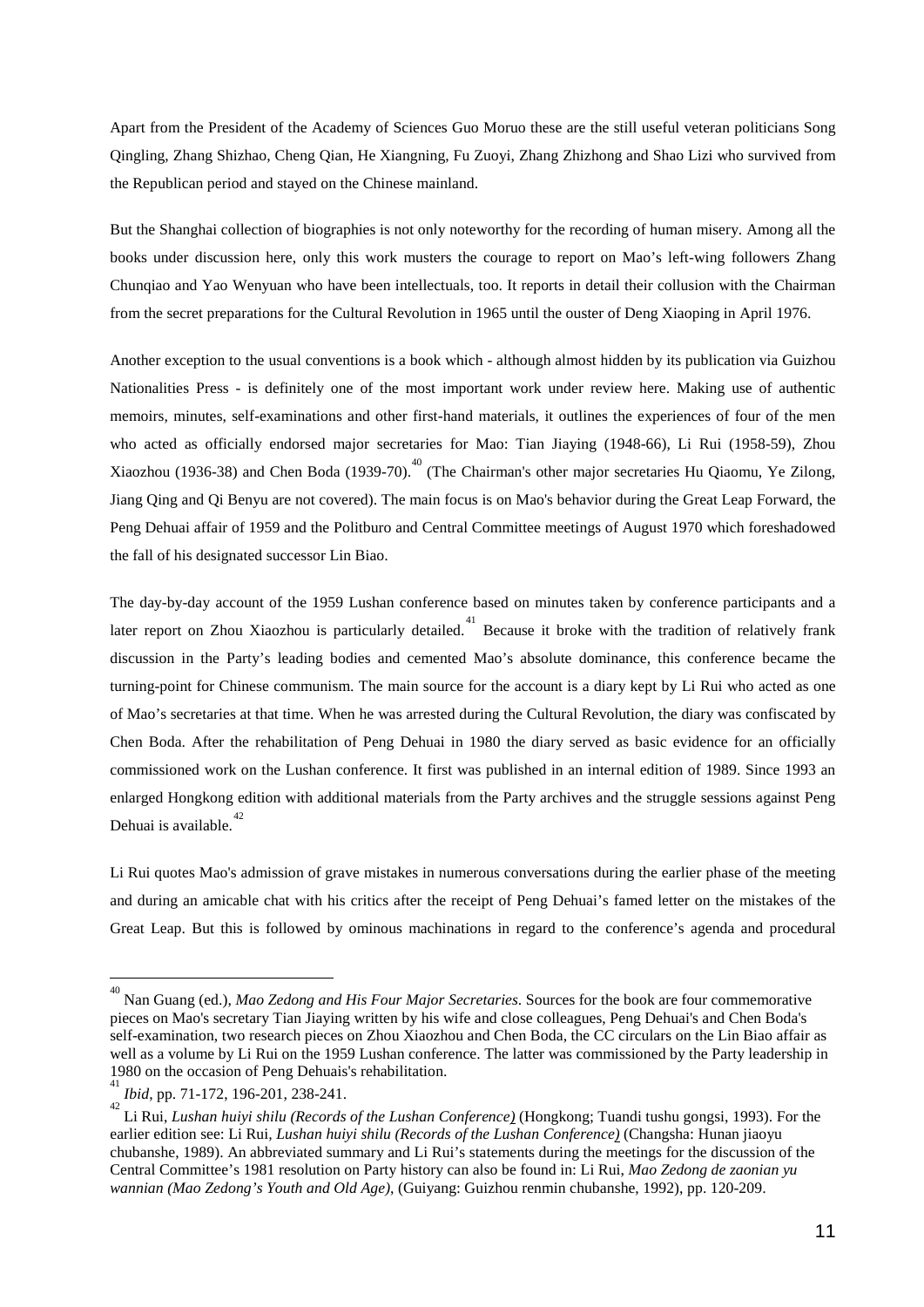Apart from the President of the Academy of Sciences Guo Moruo these are the still useful veteran politicians Song Qingling, Zhang Shizhao, Cheng Qian, He Xiangning, Fu Zuoyi, Zhang Zhizhong and Shao Lizi who survived from the Republican period and stayed on the Chinese mainland.

But the Shanghai collection of biographies is not only noteworthy for the recording of human misery. Among all the books under discussion here, only this work musters the courage to report on Mao's left-wing followers Zhang Chunqiao and Yao Wenyuan who have been intellectuals, too. It reports in detail their collusion with the Chairman from the secret preparations for the Cultural Revolution in 1965 until the ouster of Deng Xiaoping in April 1976.

Another exception to the usual conventions is a book which - although almost hidden by its publication via Guizhou Nationalities Press - is definitely one of the most important work under review here. Making use of authentic memoirs, minutes, self-examinations and other first-hand materials, it outlines the experiences of four of the men who acted as officially endorsed major secretaries for Mao: Tian Jiaying (1948-66), Li Rui (1958-59), Zhou Xiaozhou (1936-38) and Chen Boda (1939-70).<sup>[40](#page-12-0)</sup> (The Chairman's other major secretaries Hu Qiaomu, Ye Zilong, Jiang Qing and Qi Benyu are not covered). The main focus is on Mao's behavior during the Great Leap Forward, the Peng Dehuai affair of 1959 and the Politburo and Central Committee meetings of August 1970 which foreshadowed the fall of his designated successor Lin Biao.

The day-by-day account of the 1959 Lushan conference based on minutes taken by conference participants and a later report on Zhou Xiaozhou is particularly detailed.<sup>[41](#page-12-1)</sup> Because it broke with the tradition of relatively frank discussion in the Party's leading bodies and cemented Mao's absolute dominance, this conference became the turning-point for Chinese communism. The main source for the account is a diary kept by Li Rui who acted as one of Mao's secretaries at that time. When he was arrested during the Cultural Revolution, the diary was confiscated by Chen Boda. After the rehabilitation of Peng Dehuai in 1980 the diary served as basic evidence for an officially commissioned work on the Lushan conference. It first was published in an internal edition of 1989. Since 1993 an enlarged Hongkong edition with additional materials from the Party archives and the struggle sessions against Peng Dehuai is available. $42$ 

Li Rui quotes Mao's admission of grave mistakes in numerous conversations during the earlier phase of the meeting and during an amicable chat with his critics after the receipt of Peng Dehuai's famed letter on the mistakes of the Great Leap. But this is followed by ominous machinations in regard to the conference's agenda and procedural

 $\overline{a}$ 

<span id="page-12-0"></span><sup>40</sup> Nan Guang (ed.), *Mao Zedong and His Four Major Secretaries*. Sources for the book are four commemorative pieces on Mao's secretary Tian Jiaying written by his wife and close colleagues, Peng Dehuai's and Chen Boda's self-examination, two research pieces on Zhou Xiaozhou and Chen Boda, the CC circulars on the Lin Biao affair as well as a volume by Li Rui on the 1959 Lushan conference. The latter was commissioned by the Party leadership in 1980 on the occasion of Peng Dehuais's rehabilitation.

<span id="page-12-1"></span><sup>41</sup> *Ibid*, pp. 71-172, 196-201, 238-241.

<span id="page-12-2"></span>Li Rui, *Lushan huiyi shilu (Records of the Lushan Conference)* (Hongkong; Tuandi tushu gongsi, 1993). For the earlier edition see: Li Rui*, Lushan huiyi shilu (Records of the Lushan Conference)* (Changsha: Hunan jiaoyu chubanshe, 1989). An abbreviated summary and Li Rui's statements during the meetings for the discussion of the Central Committee's 1981 resolution on Party history can also be found in: Li Rui, *Mao Zedong de zaonian yu wannian (Mao Zedong's Youth and Old Age)*, (Guiyang: Guizhou renmin chubanshe, 1992), pp. 120-209.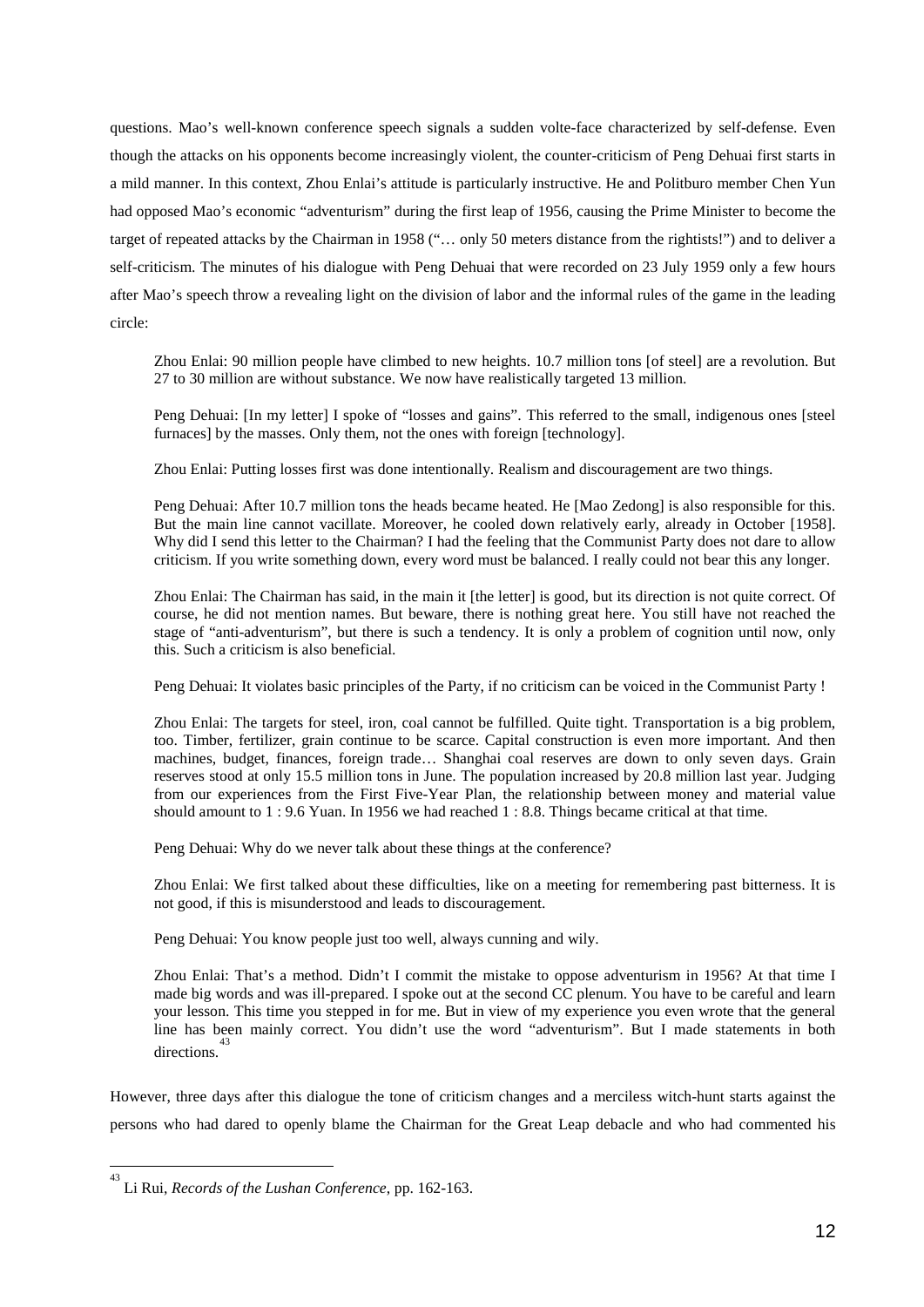questions. Mao's well-known conference speech signals a sudden volte-face characterized by self-defense. Even though the attacks on his opponents become increasingly violent, the counter-criticism of Peng Dehuai first starts in a mild manner. In this context, Zhou Enlai's attitude is particularly instructive. He and Politburo member Chen Yun had opposed Mao's economic "adventurism" during the first leap of 1956, causing the Prime Minister to become the target of repeated attacks by the Chairman in 1958 ("… only 50 meters distance from the rightists!") and to deliver a self-criticism. The minutes of his dialogue with Peng Dehuai that were recorded on 23 July 1959 only a few hours after Mao's speech throw a revealing light on the division of labor and the informal rules of the game in the leading circle:

Zhou Enlai: 90 million people have climbed to new heights. 10.7 million tons [of steel] are a revolution. But 27 to 30 million are without substance. We now have realistically targeted 13 million.

Peng Dehuai: [In my letter] I spoke of "losses and gains". This referred to the small, indigenous ones [steel furnaces] by the masses. Only them, not the ones with foreign [technology].

Zhou Enlai: Putting losses first was done intentionally. Realism and discouragement are two things.

Peng Dehuai: After 10.7 million tons the heads became heated. He [Mao Zedong] is also responsible for this. But the main line cannot vacillate. Moreover, he cooled down relatively early, already in October [1958]. Why did I send this letter to the Chairman? I had the feeling that the Communist Party does not dare to allow criticism. If you write something down, every word must be balanced. I really could not bear this any longer.

Zhou Enlai: The Chairman has said, in the main it [the letter] is good, but its direction is not quite correct. Of course, he did not mention names. But beware, there is nothing great here. You still have not reached the stage of "anti-adventurism", but there is such a tendency. It is only a problem of cognition until now, only this. Such a criticism is also beneficial.

Peng Dehuai: It violates basic principles of the Party, if no criticism can be voiced in the Communist Party !

Zhou Enlai: The targets for steel, iron, coal cannot be fulfilled. Quite tight. Transportation is a big problem, too. Timber, fertilizer, grain continue to be scarce. Capital construction is even more important. And then machines, budget, finances, foreign trade… Shanghai coal reserves are down to only seven days. Grain reserves stood at only 15.5 million tons in June. The population increased by 20.8 million last year. Judging from our experiences from the First Five-Year Plan, the relationship between money and material value should amount to 1 : 9.6 Yuan. In 1956 we had reached 1 : 8.8. Things became critical at that time.

Peng Dehuai: Why do we never talk about these things at the conference?

Zhou Enlai: We first talked about these difficulties, like on a meeting for remembering past bitterness. It is not good, if this is misunderstood and leads to discouragement.

Peng Dehuai: You know people just too well, always cunning and wily.

Zhou Enlai: That's a method. Didn't I commit the mistake to oppose adventurism in 1956? At that time I made big words and was ill-prepared. I spoke out at the second CC plenum. You have to be careful and learn your lesson. This time you stepped in for me. But in view of my experience you even wrote that the general line has been mainly correct. You didn't use the word "adventurism". But I made statements in both directions.[43](#page-13-0)

However, three days after this dialogue the tone of criticism changes and a merciless witch-hunt starts against the persons who had dared to openly blame the Chairman for the Great Leap debacle and who had commented his

<u>.</u>

<span id="page-13-0"></span><sup>43</sup> Li Rui, *Records of the Lushan Conference*, pp. 162-163.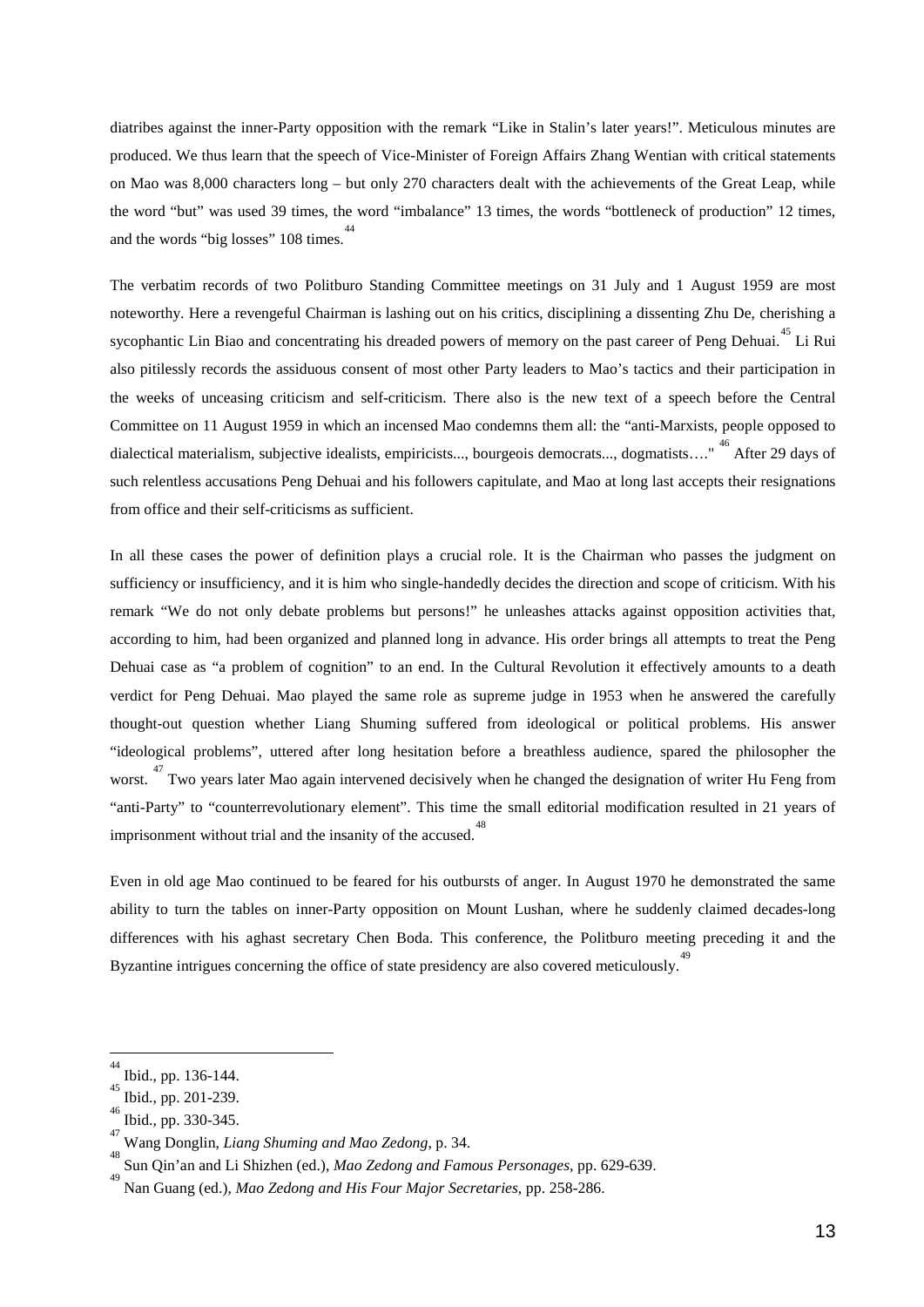diatribes against the inner-Party opposition with the remark "Like in Stalin's later years!". Meticulous minutes are produced. We thus learn that the speech of Vice-Minister of Foreign Affairs Zhang Wentian with critical statements on Mao was 8,000 characters long – but only 270 characters dealt with the achievements of the Great Leap, while the word "but" was used 39 times, the word "imbalance" 13 times, the words "bottleneck of production" 12 times, and the words "big losses" 108 times.<sup>[44](#page-14-0)</sup>

The verbatim records of two Politburo Standing Committee meetings on 31 July and 1 August 1959 are most noteworthy. Here a revengeful Chairman is lashing out on his critics, disciplining a dissenting Zhu De, cherishing a sycophantic Lin Biao and concentrating his dreaded powers of memory on the past career of Peng Dehuai.<sup>[45](#page-14-1)</sup> Li Rui also pitilessly records the assiduous consent of most other Party leaders to Mao's tactics and their participation in the weeks of unceasing criticism and self-criticism. There also is the new text of a speech before the Central Committee on 11 August 1959 in which an incensed Mao condemns them all: the "anti-Marxists, people opposed to dialectical materialism, subjective idealists, empiricists..., bourgeois democrats..., dogmatists...." <sup>[46](#page-14-2)</sup> After 29 days of such relentless accusations Peng Dehuai and his followers capitulate, and Mao at long last accepts their resignations from office and their self-criticisms as sufficient.

In all these cases the power of definition plays a crucial role. It is the Chairman who passes the judgment on sufficiency or insufficiency, and it is him who single-handedly decides the direction and scope of criticism. With his remark "We do not only debate problems but persons!" he unleashes attacks against opposition activities that, according to him, had been organized and planned long in advance. His order brings all attempts to treat the Peng Dehuai case as "a problem of cognition" to an end. In the Cultural Revolution it effectively amounts to a death verdict for Peng Dehuai. Mao played the same role as supreme judge in 1953 when he answered the carefully thought-out question whether Liang Shuming suffered from ideological or political problems. His answer "ideological problems", uttered after long hesitation before a breathless audience, spared the philosopher the worst.<sup>[47](#page-14-3)</sup> Two years later Mao again intervened decisively when he changed the designation of writer Hu Feng from "anti-Party" to "counterrevolutionary element". This time the small editorial modification resulted in 21 years of imprisonment without trial and the insanity of the accused.<sup>[48](#page-14-4)</sup>

Even in old age Mao continued to be feared for his outbursts of anger. In August 1970 he demonstrated the same ability to turn the tables on inner-Party opposition on Mount Lushan, where he suddenly claimed decades-long differences with his aghast secretary Chen Boda. This conference, the Politburo meeting preceding it and the Byzantine intrigues concerning the office of state presidency are also covered meticulously.<sup>[49](#page-14-5)</sup>

<span id="page-14-0"></span> $\frac{1}{44}$  $^{44}_{45}$  Ibid., pp. 136-144.

<span id="page-14-1"></span> $^{45}_{46}$  Ibid., pp. 201-239.

<span id="page-14-2"></span>Ibid., pp. 330-345. <sup>47</sup>

<span id="page-14-3"></span>Wang Donglin, *Liang Shuming and Mao Zedong*, p. 34.

<span id="page-14-4"></span>Sun Qin'an and Li Shizhen (ed.), *Mao Zedong and Famous Personages,* pp. 629-639.

<span id="page-14-5"></span><sup>49</sup> Nan Guang (ed.), *Mao Zedong and His Four Major Secretaries*, pp. 258-286.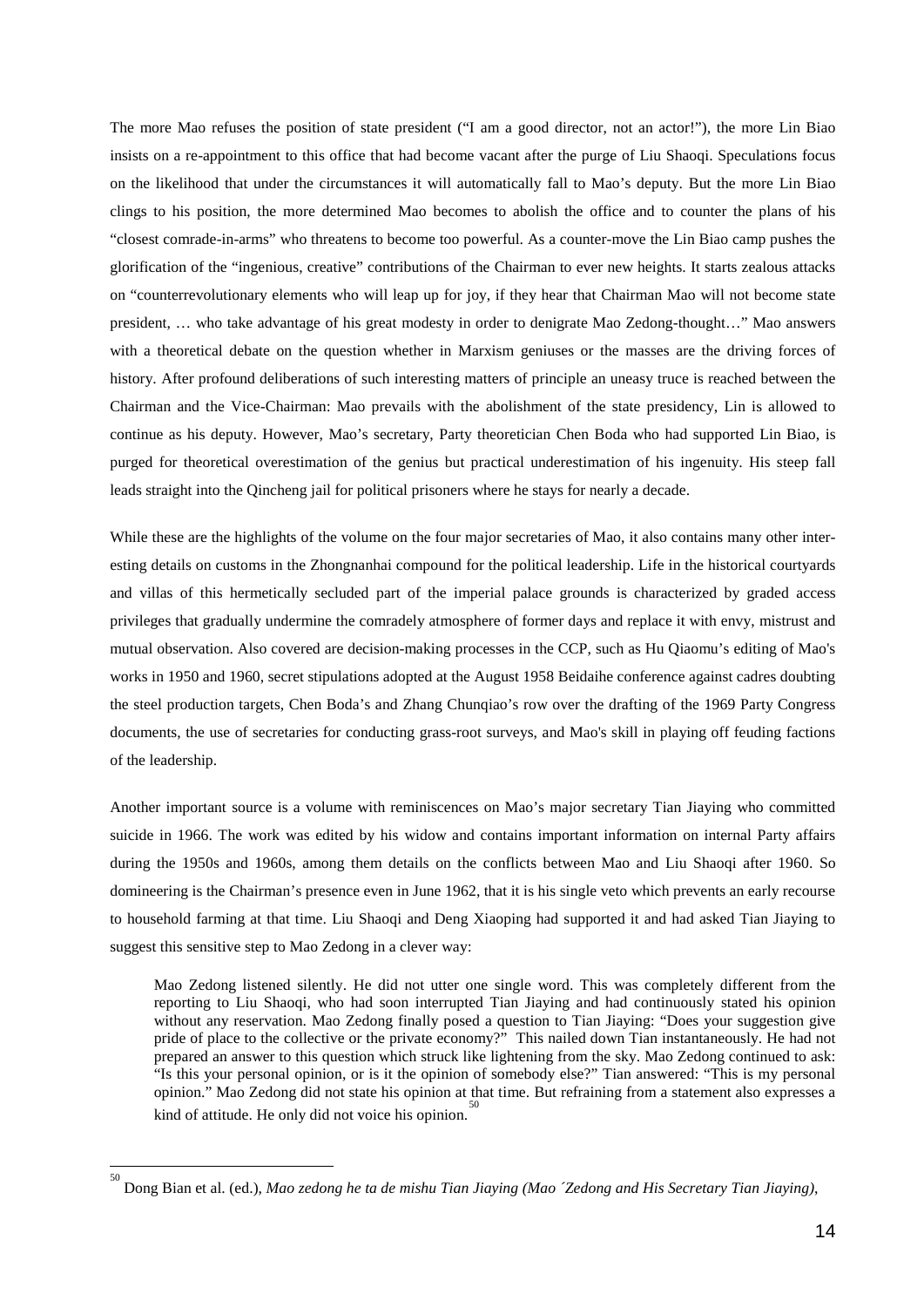The more Mao refuses the position of state president ("I am a good director, not an actor!"), the more Lin Biao insists on a re-appointment to this office that had become vacant after the purge of Liu Shaoqi. Speculations focus on the likelihood that under the circumstances it will automatically fall to Mao's deputy. But the more Lin Biao clings to his position, the more determined Mao becomes to abolish the office and to counter the plans of his "closest comrade-in-arms" who threatens to become too powerful. As a counter-move the Lin Biao camp pushes the glorification of the "ingenious, creative" contributions of the Chairman to ever new heights. It starts zealous attacks on "counterrevolutionary elements who will leap up for joy, if they hear that Chairman Mao will not become state president, … who take advantage of his great modesty in order to denigrate Mao Zedong-thought…" Mao answers with a theoretical debate on the question whether in Marxism geniuses or the masses are the driving forces of history. After profound deliberations of such interesting matters of principle an uneasy truce is reached between the Chairman and the Vice-Chairman: Mao prevails with the abolishment of the state presidency, Lin is allowed to continue as his deputy. However, Mao's secretary, Party theoretician Chen Boda who had supported Lin Biao, is purged for theoretical overestimation of the genius but practical underestimation of his ingenuity. His steep fall leads straight into the Qincheng jail for political prisoners where he stays for nearly a decade.

While these are the highlights of the volume on the four major secretaries of Mao, it also contains many other interesting details on customs in the Zhongnanhai compound for the political leadership. Life in the historical courtyards and villas of this hermetically secluded part of the imperial palace grounds is characterized by graded access privileges that gradually undermine the comradely atmosphere of former days and replace it with envy, mistrust and mutual observation. Also covered are decision-making processes in the CCP, such as Hu Qiaomu's editing of Mao's works in 1950 and 1960, secret stipulations adopted at the August 1958 Beidaihe conference against cadres doubting the steel production targets, Chen Boda's and Zhang Chunqiao's row over the drafting of the 1969 Party Congress documents, the use of secretaries for conducting grass-root surveys, and Mao's skill in playing off feuding factions of the leadership.

Another important source is a volume with reminiscences on Mao's major secretary Tian Jiaying who committed suicide in 1966. The work was edited by his widow and contains important information on internal Party affairs during the 1950s and 1960s, among them details on the conflicts between Mao and Liu Shaoqi after 1960. So domineering is the Chairman's presence even in June 1962, that it is his single veto which prevents an early recourse to household farming at that time. Liu Shaoqi and Deng Xiaoping had supported it and had asked Tian Jiaying to suggest this sensitive step to Mao Zedong in a clever way:

Mao Zedong listened silently. He did not utter one single word. This was completely different from the reporting to Liu Shaoqi, who had soon interrupted Tian Jiaying and had continuously stated his opinion without any reservation. Mao Zedong finally posed a question to Tian Jiaying: "Does your suggestion give pride of place to the collective or the private economy?" This nailed down Tian instantaneously. He had not prepared an answer to this question which struck like lightening from the sky. Mao Zedong continued to ask: "Is this your personal opinion, or is it the opinion of somebody else?" Tian answered: "This is my personal opinion." Mao Zedong did not state his opinion at that time. But refraining from a statement also expresses a kind of attitude. He only did not voice his opinion. $\overline{5}$ 

<u>.</u>

<span id="page-15-0"></span><sup>50</sup> Dong Bian et al. (ed.), *Mao zedong he ta de mishu Tian Jiaying (Mao ´Zedong and His Secretary Tian Jiaying)*,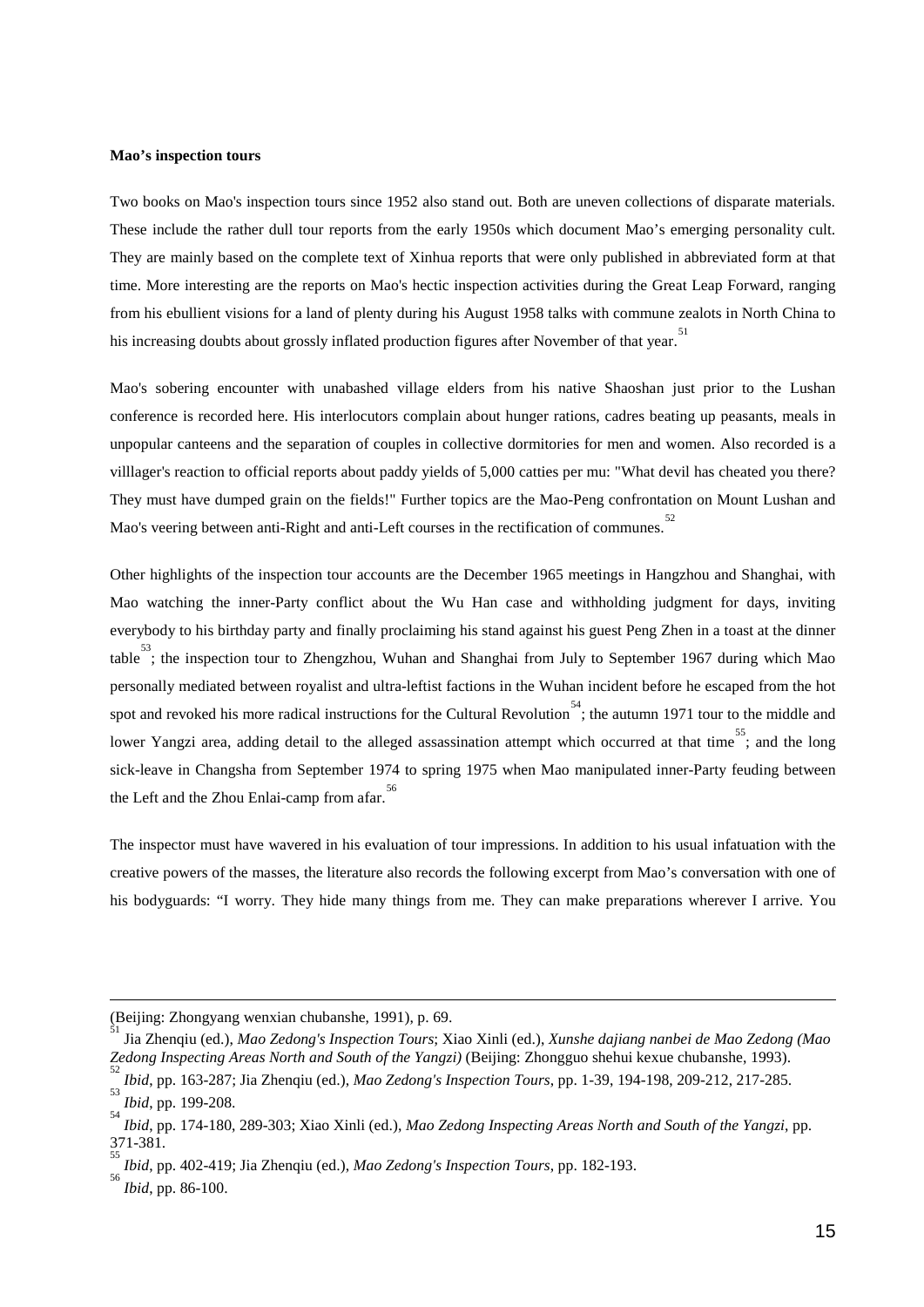#### **Mao's inspection tours**

Two books on Mao's inspection tours since 1952 also stand out. Both are uneven collections of disparate materials. These include the rather dull tour reports from the early 1950s which document Mao's emerging personality cult. They are mainly based on the complete text of Xinhua reports that were only published in abbreviated form at that time. More interesting are the reports on Mao's hectic inspection activities during the Great Leap Forward, ranging from his ebullient visions for a land of plenty during his August 1958 talks with commune zealots in North China to his increasing doubts about grossly inflated production figures after November of that year.<sup>[51](#page-16-0)</sup>

Mao's sobering encounter with unabashed village elders from his native Shaoshan just prior to the Lushan conference is recorded here. His interlocutors complain about hunger rations, cadres beating up peasants, meals in unpopular canteens and the separation of couples in collective dormitories for men and women. Also recorded is a villlager's reaction to official reports about paddy yields of 5,000 catties per mu: "What devil has cheated you there? They must have dumped grain on the fields!" Further topics are the Mao-Peng confrontation on Mount Lushan and Mao's veering between anti-Right and anti-Left courses in the rectification of communes.<sup>[52](#page-16-1)</sup>

Other highlights of the inspection tour accounts are the December 1965 meetings in Hangzhou and Shanghai, with Mao watching the inner-Party conflict about the Wu Han case and withholding judgment for days, inviting everybody to his birthday party and finally proclaiming his stand against his guest Peng Zhen in a toast at the dinner table<sup>[53](#page-16-2)</sup>; the inspection tour to Zhengzhou, Wuhan and Shanghai from July to September 1967 during which Mao personally mediated between royalist and ultra-leftist factions in the Wuhan incident before he escaped from the hot spot and revoked his more radical instructions for the Cultural Revolution<sup>[54](#page-16-3)</sup>; the autumn 1971 tour to the middle and lower Yangzi area, adding detail to the alleged assassination attempt which occurred at that time<sup>[55](#page-16-4)</sup>; and the long sick-leave in Changsha from September 1974 to spring 1975 when Mao manipulated inner-Party feuding between the Left and the Zhou Enlai-camp from afar.<sup>[56](#page-16-5)</sup>

The inspector must have wavered in his evaluation of tour impressions. In addition to his usual infatuation with the creative powers of the masses, the literature also records the following excerpt from Mao's conversation with one of his bodyguards: "I worry. They hide many things from me. They can make preparations wherever I arrive. You

-

<sup>(</sup>Beijing: Zhongyang wenxian chubanshe, 1991), p. 69.

<span id="page-16-0"></span><sup>51</sup> Jia Zhenqiu (ed.), *Mao Zedong's Inspection Tours*; Xiao Xinli (ed.), *Xunshe dajiang nanbei de Mao Zedong (Mao Zedong Inspecting Areas North and South of the Yangzi)* (Beijing: Zhongguo shehui kexue chubanshe, 1993). <sup>52</sup>

*Ibid.* pp. 163-287; Jia Zhenqiu (ed.), *Mao Zedong's Inspection Tours*, pp. 1-39, 194-198, 209-212, 217-285.

<span id="page-16-2"></span><span id="page-16-1"></span>*Ibid*, pp. 199-208.

<span id="page-16-3"></span>*Ibid*, pp. 174-180, 289-303; Xiao Xinli (ed.), *Mao Zedong Inspecting Areas North and South of the Yangzi*, pp.  $371 - 381$ .

<span id="page-16-4"></span>*Ibid*, pp. 402-419; Jia Zhenqiu (ed.), *Mao Zedong's Inspection Tours*, pp. 182-193.

<span id="page-16-5"></span>*Ibid*, pp. 86-100.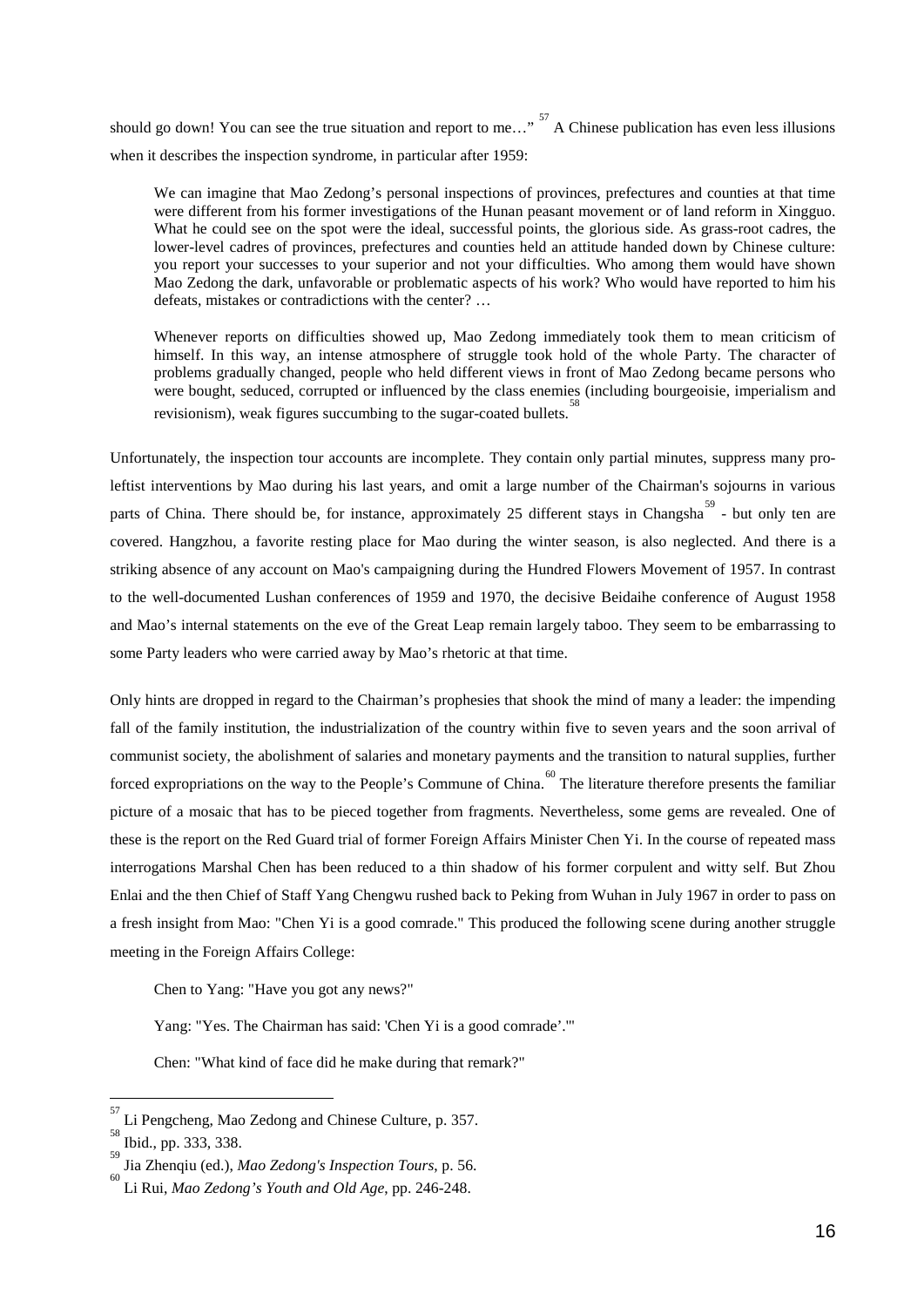should go down! You can see the true situation and report to me..."  $^{57}$  $^{57}$  $^{57}$  A Chinese publication has even less illusions when it describes the inspection syndrome, in particular after 1959:

We can imagine that Mao Zedong's personal inspections of provinces, prefectures and counties at that time were different from his former investigations of the Hunan peasant movement or of land reform in Xingguo. What he could see on the spot were the ideal, successful points, the glorious side. As grass-root cadres, the lower-level cadres of provinces, prefectures and counties held an attitude handed down by Chinese culture: you report your successes to your superior and not your difficulties. Who among them would have shown Mao Zedong the dark, unfavorable or problematic aspects of his work? Who would have reported to him his defeats, mistakes or contradictions with the center? …

Whenever reports on difficulties showed up, Mao Zedong immediately took them to mean criticism of himself. In this way, an intense atmosphere of struggle took hold of the whole Party. The character of problems gradually changed, people who held different views in front of Mao Zedong became persons who were bought, seduced, corrupted or influenced by the class enemies (including bourgeoisie, imperialism and revisionism), weak figures succumbing to the sugar-coated bullets.

Unfortunately, the inspection tour accounts are incomplete. They contain only partial minutes, suppress many proleftist interventions by Mao during his last years, and omit a large number of the Chairman's sojourns in various parts of China. There should be, for instance, approximately 25 different stays in Changsha<sup>[59](#page-17-2)</sup> - but only ten are covered. Hangzhou, a favorite resting place for Mao during the winter season, is also neglected. And there is a striking absence of any account on Mao's campaigning during the Hundred Flowers Movement of 1957. In contrast to the well-documented Lushan conferences of 1959 and 1970, the decisive Beidaihe conference of August 1958 and Mao's internal statements on the eve of the Great Leap remain largely taboo. They seem to be embarrassing to some Party leaders who were carried away by Mao's rhetoric at that time.

Only hints are dropped in regard to the Chairman's prophesies that shook the mind of many a leader: the impending fall of the family institution, the industrialization of the country within five to seven years and the soon arrival of communist society, the abolishment of salaries and monetary payments and the transition to natural supplies, further forced expropriations on the way to the People's Commune of China.<sup>[60](#page-17-3)</sup> The literature therefore presents the familiar picture of a mosaic that has to be pieced together from fragments. Nevertheless, some gems are revealed. One of these is the report on the Red Guard trial of former Foreign Affairs Minister Chen Yi. In the course of repeated mass interrogations Marshal Chen has been reduced to a thin shadow of his former corpulent and witty self. But Zhou Enlai and the then Chief of Staff Yang Chengwu rushed back to Peking from Wuhan in July 1967 in order to pass on a fresh insight from Mao: "Chen Yi is a good comrade." This produced the following scene during another struggle meeting in the Foreign Affairs College:

Chen to Yang: "Have you got any news?"

Yang: "Yes. The Chairman has said: 'Chen Yi is a good comrade'.'"

Chen: "What kind of face did he make during that remark?"

<u>.</u>

<span id="page-17-0"></span><sup>57</sup> Li Pengcheng, Mao Zedong and Chinese Culture, p. 357.

<span id="page-17-1"></span>Ibid., pp. 333, 338.

<span id="page-17-2"></span><sup>59</sup> Jia Zhenqiu (ed.), *Mao Zedong's Inspection Tours*, p. 56. <sup>60</sup>

<span id="page-17-3"></span>Li Rui, *Mao Zedong's Youth and Old Age*, pp. 246-248.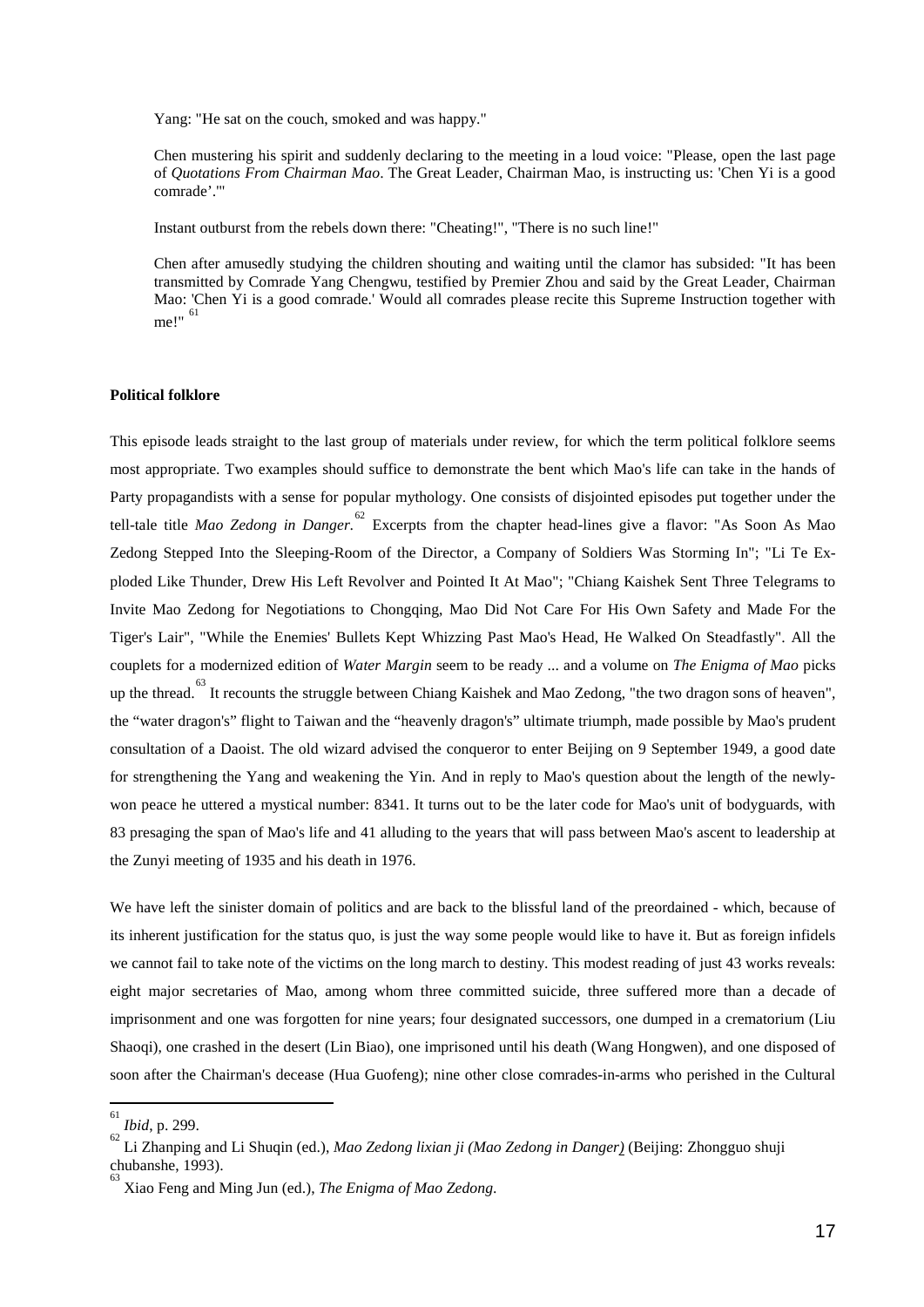Yang: "He sat on the couch, smoked and was happy."

Chen mustering his spirit and suddenly declaring to the meeting in a loud voice: "Please, open the last page of *Quotations From Chairman Mao*. The Great Leader, Chairman Mao, is instructing us: 'Chen Yi is a good comrade'.'"

Instant outburst from the rebels down there: "Cheating!", "There is no such line!"

Chen after amusedly studying the children shouting and waiting until the clamor has subsided: "It has been transmitted by Comrade Yang Chengwu, testified by Premier Zhou and said by the Great Leader, Chairman Mao: 'Chen Yi is a good comrade.' Would all comrades please recite this Supreme Instruction together with me!" [61](#page-18-0)

#### **Political folklore**

This episode leads straight to the last group of materials under review, for which the term political folklore seems most appropriate. Two examples should suffice to demonstrate the bent which Mao's life can take in the hands of Party propagandists with a sense for popular mythology. One consists of disjointed episodes put together under the tell-tale title *Mao Zedong in Danger*. [62](#page-18-1) Excerpts from the chapter head-lines give a flavor: "As Soon As Mao Zedong Stepped Into the Sleeping-Room of the Director, a Company of Soldiers Was Storming In"; "Li Te Exploded Like Thunder, Drew His Left Revolver and Pointed It At Mao"; "Chiang Kaishek Sent Three Telegrams to Invite Mao Zedong for Negotiations to Chongqing, Mao Did Not Care For His Own Safety and Made For the Tiger's Lair", "While the Enemies' Bullets Kept Whizzing Past Mao's Head, He Walked On Steadfastly". All the couplets for a modernized edition of *Water Margin* seem to be ready ... and a volume on *The Enigma of Mao* picks up the thread.<sup>[63](#page-18-2)</sup> It recounts the struggle between Chiang Kaishek and Mao Zedong, "the two dragon sons of heaven", the "water dragon's" flight to Taiwan and the "heavenly dragon's" ultimate triumph, made possible by Mao's prudent consultation of a Daoist. The old wizard advised the conqueror to enter Beijing on 9 September 1949, a good date for strengthening the Yang and weakening the Yin. And in reply to Mao's question about the length of the newlywon peace he uttered a mystical number: 8341. It turns out to be the later code for Mao's unit of bodyguards, with 83 presaging the span of Mao's life and 41 alluding to the years that will pass between Mao's ascent to leadership at the Zunyi meeting of 1935 and his death in 1976.

We have left the sinister domain of politics and are back to the blissful land of the preordained - which, because of its inherent justification for the status quo, is just the way some people would like to have it. But as foreign infidels we cannot fail to take note of the victims on the long march to destiny. This modest reading of just 43 works reveals: eight major secretaries of Mao, among whom three committed suicide, three suffered more than a decade of imprisonment and one was forgotten for nine years; four designated successors, one dumped in a crematorium (Liu Shaoqi), one crashed in the desert (Lin Biao), one imprisoned until his death (Wang Hongwen), and one disposed of soon after the Chairman's decease (Hua Guofeng); nine other close comrades-in-arms who perished in the Cultural

<u>.</u>

<span id="page-18-0"></span><sup>61</sup> *Ibid*, p. 299.

<span id="page-18-1"></span>Li Zhanping and Li Shuqin (ed.), *Mao Zedong lixian ji (Mao Zedong in Danger)* (Beijing: Zhongguo shuji chubanshe, 1993).

<span id="page-18-2"></span><sup>63</sup> Xiao Feng and Ming Jun (ed.), *The Enigma of Mao Zedong*.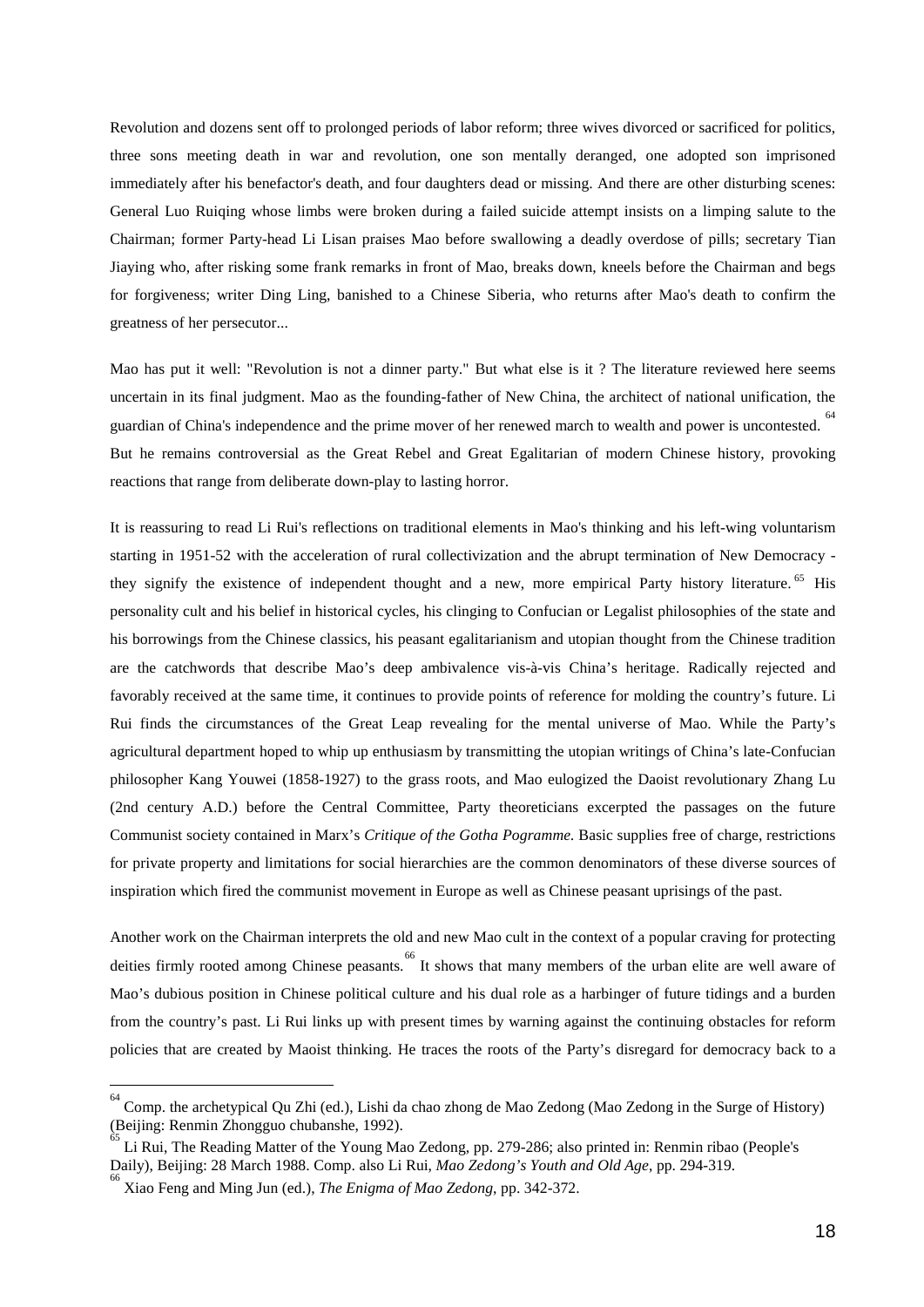Revolution and dozens sent off to prolonged periods of labor reform; three wives divorced or sacrificed for politics, three sons meeting death in war and revolution, one son mentally deranged, one adopted son imprisoned immediately after his benefactor's death, and four daughters dead or missing. And there are other disturbing scenes: General Luo Ruiqing whose limbs were broken during a failed suicide attempt insists on a limping salute to the Chairman; former Party-head Li Lisan praises Mao before swallowing a deadly overdose of pills; secretary Tian Jiaying who, after risking some frank remarks in front of Mao, breaks down, kneels before the Chairman and begs for forgiveness; writer Ding Ling, banished to a Chinese Siberia, who returns after Mao's death to confirm the greatness of her persecutor...

Mao has put it well: "Revolution is not a dinner party." But what else is it ? The literature reviewed here seems uncertain in its final judgment. Mao as the founding-father of New China, the architect of national unification, the guardian of China's independence and the prime mover of her renewed march to wealth and power is uncontested. <sup>[64](#page-19-0)</sup> But he remains controversial as the Great Rebel and Great Egalitarian of modern Chinese history, provoking reactions that range from deliberate down-play to lasting horror.

It is reassuring to read Li Rui's reflections on traditional elements in Mao's thinking and his left-wing voluntarism starting in 1951-52 with the acceleration of rural collectivization and the abrupt termination of New Democracy - they signify the existence of independent thought and a new, more empirical Party history literature.<sup>[65](#page-19-1)</sup> His personality cult and his belief in historical cycles, his clinging to Confucian or Legalist philosophies of the state and his borrowings from the Chinese classics, his peasant egalitarianism and utopian thought from the Chinese tradition are the catchwords that describe Mao's deep ambivalence vis-à-vis China's heritage. Radically rejected and favorably received at the same time, it continues to provide points of reference for molding the country's future. Li Rui finds the circumstances of the Great Leap revealing for the mental universe of Mao. While the Party's agricultural department hoped to whip up enthusiasm by transmitting the utopian writings of China's late-Confucian philosopher Kang Youwei (1858-1927) to the grass roots, and Mao eulogized the Daoist revolutionary Zhang Lu (2nd century A.D.) before the Central Committee, Party theoreticians excerpted the passages on the future Communist society contained in Marx's *Critique of the Gotha Pogramme.* Basic supplies free of charge, restrictions for private property and limitations for social hierarchies are the common denominators of these diverse sources of inspiration which fired the communist movement in Europe as well as Chinese peasant uprisings of the past.

Another work on the Chairman interprets the old and new Mao cult in the context of a popular craving for protecting deities firmly rooted among Chinese peasants. <sup>[66](#page-19-2)</sup> It shows that many members of the urban elite are well aware of Mao's dubious position in Chinese political culture and his dual role as a harbinger of future tidings and a burden from the country's past. Li Rui links up with present times by warning against the continuing obstacles for reform policies that are created by Maoist thinking. He traces the roots of the Party's disregard for democracy back to a

 $\overline{\phantom{a}}$ 

<span id="page-19-0"></span><sup>64</sup> Comp. the archetypical Qu Zhi (ed.), Lishi da chao zhong de Mao Zedong (Mao Zedong in the Surge of History) (Beijing: Renmin Zhongguo chubanshe, 1992).

<span id="page-19-1"></span>Li Rui, The Reading Matter of the Young Mao Zedong, pp. 279-286; also printed in: Renmin ribao (People's Daily), Beijing: 28 March 1988. Comp. also Li Rui, *Mao Zedong's Youth and Old Age*, pp. 294-319. 66

<span id="page-19-2"></span>Xiao Feng and Ming Jun (ed.), *The Enigma of Mao Zedong*, pp. 342-372.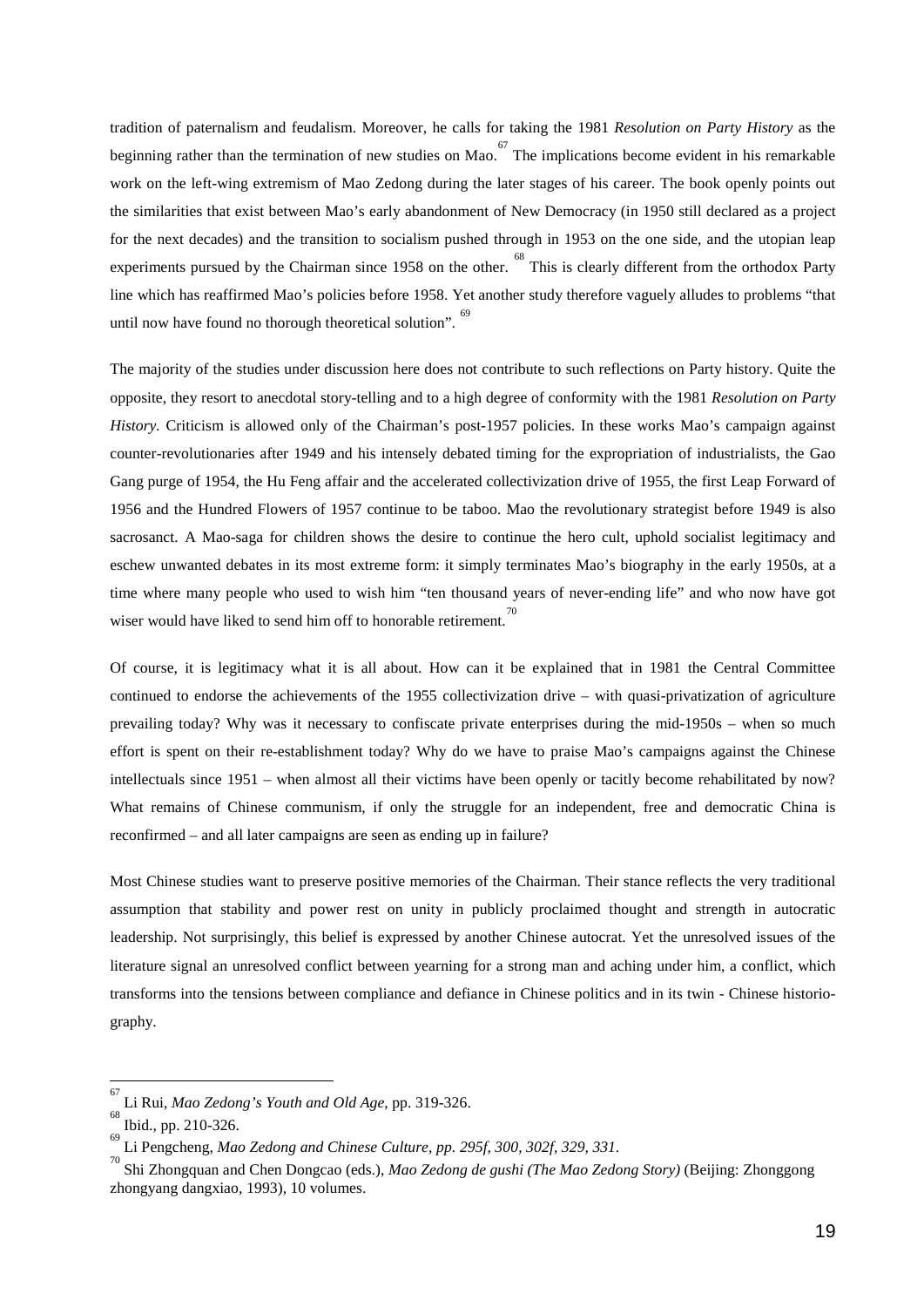tradition of paternalism and feudalism. Moreover, he calls for taking the 1981 *Resolution on Party History* as the beginning rather than the termination of new studies on Mao.  $67$  The implications become evident in his remarkable work on the left-wing extremism of Mao Zedong during the later stages of his career. The book openly points out the similarities that exist between Mao's early abandonment of New Democracy (in 1950 still declared as a project for the next decades) and the transition to socialism pushed through in 1953 on the one side, and the utopian leap experiments pursued by the Chairman since 1958 on the other. <sup>[68](#page-20-1)</sup> This is clearly different from the orthodox Party line which has reaffirmed Mao's policies before 1958. Yet another study therefore vaguely alludes to problems "that until now have found no thorough theoretical solution". <sup>[69](#page-20-2)</sup>

The majority of the studies under discussion here does not contribute to such reflections on Party history. Quite the opposite, they resort to anecdotal story-telling and to a high degree of conformity with the 1981 *Resolution on Party History.* Criticism is allowed only of the Chairman's post-1957 policies. In these works Mao's campaign against counter-revolutionaries after 1949 and his intensely debated timing for the expropriation of industrialists, the Gao Gang purge of 1954, the Hu Feng affair and the accelerated collectivization drive of 1955, the first Leap Forward of 1956 and the Hundred Flowers of 1957 continue to be taboo. Mao the revolutionary strategist before 1949 is also sacrosanct. A Mao-saga for children shows the desire to continue the hero cult, uphold socialist legitimacy and eschew unwanted debates in its most extreme form: it simply terminates Mao's biography in the early 1950s, at a time where many people who used to wish him "ten thousand years of never-ending life" and who now have got wiser would have liked to send him off to honorable retirement.<sup>[70](#page-20-3)</sup>

Of course, it is legitimacy what it is all about. How can it be explained that in 1981 the Central Committee continued to endorse the achievements of the 1955 collectivization drive – with quasi-privatization of agriculture prevailing today? Why was it necessary to confiscate private enterprises during the mid-1950s – when so much effort is spent on their re-establishment today? Why do we have to praise Mao's campaigns against the Chinese intellectuals since 1951 – when almost all their victims have been openly or tacitly become rehabilitated by now? What remains of Chinese communism, if only the struggle for an independent, free and democratic China is reconfirmed – and all later campaigns are seen as ending up in failure?

Most Chinese studies want to preserve positive memories of the Chairman. Their stance reflects the very traditional assumption that stability and power rest on unity in publicly proclaimed thought and strength in autocratic leadership. Not surprisingly, this belief is expressed by another Chinese autocrat. Yet the unresolved issues of the literature signal an unresolved conflict between yearning for a strong man and aching under him, a conflict, which transforms into the tensions between compliance and defiance in Chinese politics and in its twin - Chinese historiography.

 $\overline{\phantom{a}}$ 

<span id="page-20-0"></span><sup>67</sup> Li Rui, *Mao Zedong's Youth and Old Age*, pp. 319-326.

<span id="page-20-1"></span>Ibid., pp. 210-326.

<span id="page-20-2"></span>Li Pengcheng, *Mao Zedong and Chinese Culture, pp. 295f, 300, 302f, 329, 331.* <sup>70</sup>

<span id="page-20-3"></span>Shi Zhongquan and Chen Dongcao (eds.), *Mao Zedong de gushi (The Mao Zedong Story)* (Beijing: Zhonggong zhongyang dangxiao, 1993), 10 volumes.